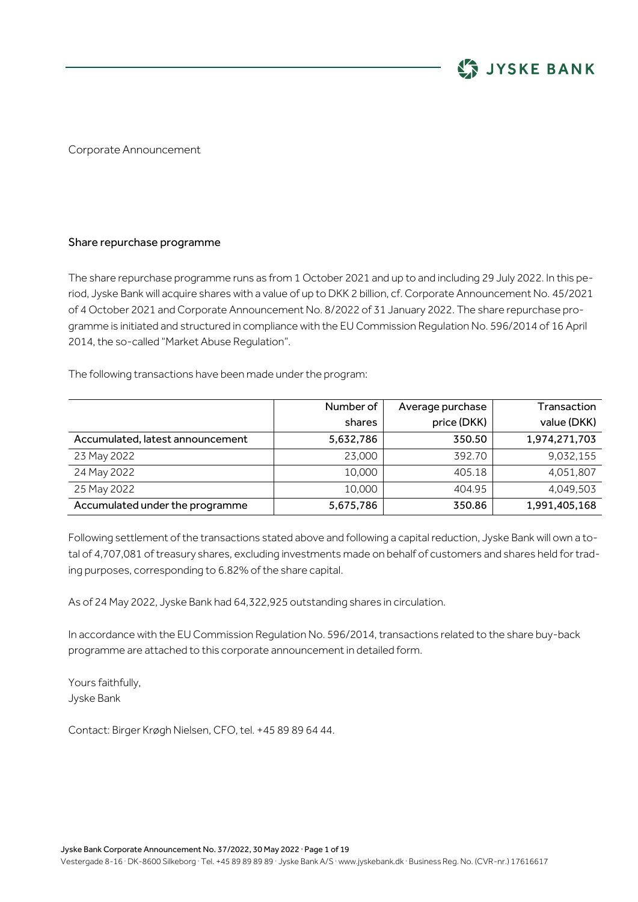

Corporate Announcement

## Share repurchase programme

The share repurchase programme runs as from 1 October 2021 and up to and including 29 July 2022. In this period, Jyske Bank will acquire shares with a value of up to DKK 2 billion, cf. Corporate Announcement No. 45/2021 of 4 October 2021 and Corporate Announcement No. 8/2022 of 31 January 2022. The share repurchase programme is initiated and structured in compliance with the EU Commission Regulation No. 596/2014 of 16 April 2014, the so-called "Market Abuse Regulation".

The following transactions have been made under the program:

|                                  | Number of | Average purchase | Transaction   |
|----------------------------------|-----------|------------------|---------------|
|                                  | shares    | price (DKK)      | value (DKK)   |
| Accumulated, latest announcement | 5,632,786 | 350.50           | 1,974,271,703 |
| 23 May 2022                      | 23,000    | 392.70           | 9,032,155     |
| 24 May 2022                      | 10.000    | 405.18           | 4,051,807     |
| 25 May 2022                      | 10.000    | 404.95           | 4.049.503     |
| Accumulated under the programme  | 5,675,786 | 350.86           | 1,991,405,168 |

Following settlement ofthe transactions stated above and following a capital reduction, Jyske Bank will own a total of 4,707,081 of treasury shares, excluding investments made on behalf of customers and shares held for trading purposes, corresponding to 6.82% of the share capital.

As of 24 May 2022, Jyske Bank had 64,322,925 outstanding shares in circulation.

In accordance with the EU Commission Regulation No. 596/2014, transactions related to the share buy-back programme are attached to this corporate announcement in detailed form.

Yours faithfully, Jyske Bank

Contact: Birger Krøgh Nielsen, CFO, tel. +45 89 89 64 44.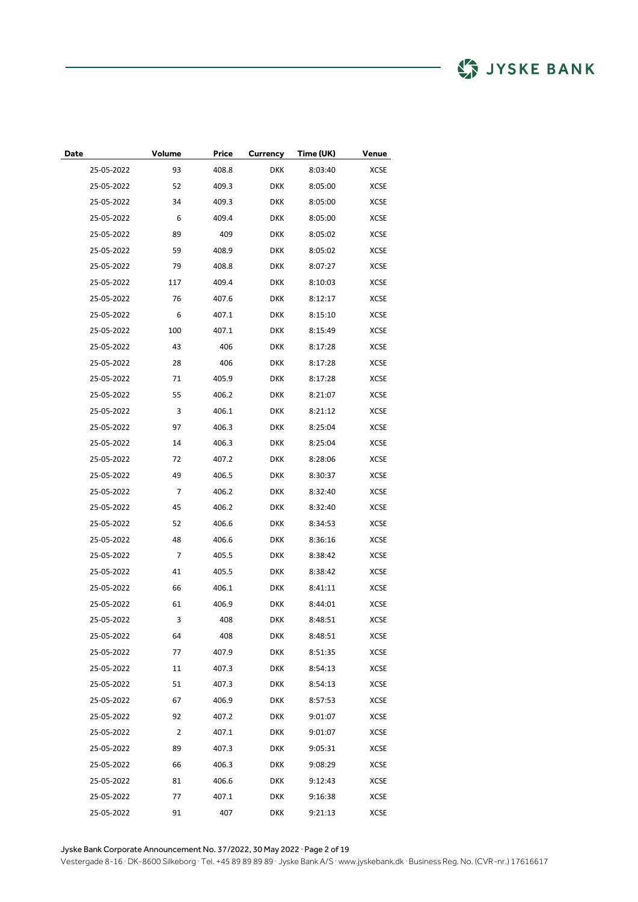| Date       | Volume | Price | <b>Currency</b> | Time (UK) | Venue       |
|------------|--------|-------|-----------------|-----------|-------------|
| 25-05-2022 | 93     | 408.8 | <b>DKK</b>      | 8:03:40   | XCSE        |
| 25-05-2022 | 52     | 409.3 | <b>DKK</b>      | 8:05:00   | XCSE        |
| 25-05-2022 | 34     | 409.3 | <b>DKK</b>      | 8:05:00   | XCSE        |
| 25-05-2022 | 6      | 409.4 | <b>DKK</b>      | 8:05:00   | XCSE        |
| 25-05-2022 | 89     | 409   | <b>DKK</b>      | 8:05:02   | XCSE        |
| 25-05-2022 | 59     | 408.9 | <b>DKK</b>      | 8:05:02   | XCSE        |
| 25-05-2022 | 79     | 408.8 | <b>DKK</b>      | 8:07:27   | XCSE        |
| 25-05-2022 | 117    | 409.4 | <b>DKK</b>      | 8:10:03   | <b>XCSE</b> |
| 25-05-2022 | 76     | 407.6 | <b>DKK</b>      | 8:12:17   | XCSE        |
| 25-05-2022 | 6      | 407.1 | <b>DKK</b>      | 8:15:10   | XCSE        |
| 25-05-2022 | 100    | 407.1 | <b>DKK</b>      | 8:15:49   | XCSE        |
| 25-05-2022 | 43     | 406   | <b>DKK</b>      | 8:17:28   | XCSE        |
| 25-05-2022 | 28     | 406   | <b>DKK</b>      | 8:17:28   | XCSE        |
| 25-05-2022 | 71     | 405.9 | <b>DKK</b>      | 8:17:28   | XCSE        |
| 25-05-2022 | 55     | 406.2 | <b>DKK</b>      | 8:21:07   | XCSE        |
| 25-05-2022 | 3      | 406.1 | <b>DKK</b>      | 8:21:12   | <b>XCSE</b> |
| 25-05-2022 | 97     | 406.3 | <b>DKK</b>      | 8:25:04   | XCSE        |
| 25-05-2022 | 14     | 406.3 | <b>DKK</b>      | 8:25:04   | XCSE        |
| 25-05-2022 | 72     | 407.2 | <b>DKK</b>      | 8:28:06   | XCSE        |
| 25-05-2022 | 49     | 406.5 | <b>DKK</b>      | 8:30:37   | XCSE        |
| 25-05-2022 | 7      | 406.2 | <b>DKK</b>      | 8:32:40   | XCSE        |
| 25-05-2022 | 45     | 406.2 | <b>DKK</b>      | 8:32:40   | XCSE        |
| 25-05-2022 | 52     | 406.6 | <b>DKK</b>      | 8:34:53   | XCSE        |
| 25-05-2022 | 48     | 406.6 | <b>DKK</b>      | 8:36:16   | XCSE        |
| 25-05-2022 | 7      | 405.5 | <b>DKK</b>      | 8:38:42   | XCSE        |
| 25-05-2022 | 41     | 405.5 | <b>DKK</b>      | 8:38:42   | XCSE        |
| 25-05-2022 | 66     | 406.1 | <b>DKK</b>      | 8:41:11   | XCSE        |
| 25-05-2022 | 61     | 406.9 | <b>DKK</b>      | 8:44:01   | XCSE        |
| 25-05-2022 | 3      | 408   | <b>DKK</b>      | 8:48:51   | XCSE        |
| 25-05-2022 | 64     | 408   | <b>DKK</b>      | 8:48:51   | XCSE        |
| 25-05-2022 | 77     | 407.9 | <b>DKK</b>      | 8:51:35   | <b>XCSE</b> |
| 25-05-2022 | 11     | 407.3 | DKK             | 8:54:13   | XCSE        |
| 25-05-2022 | 51     | 407.3 | <b>DKK</b>      | 8:54:13   | <b>XCSE</b> |
| 25-05-2022 | 67     | 406.9 | <b>DKK</b>      | 8:57:53   | XCSE        |
| 25-05-2022 | 92     | 407.2 | <b>DKK</b>      | 9:01:07   | <b>XCSE</b> |
| 25-05-2022 | 2      | 407.1 | <b>DKK</b>      | 9:01:07   | XCSE        |
| 25-05-2022 | 89     | 407.3 | <b>DKK</b>      | 9:05:31   | XCSE        |
| 25-05-2022 | 66     | 406.3 | <b>DKK</b>      | 9:08:29   | XCSE        |
| 25-05-2022 | 81     | 406.6 | DKK             | 9:12:43   | XCSE        |
| 25-05-2022 | 77     | 407.1 | DKK             | 9:16:38   | XCSE        |
| 25-05-2022 | 91     | 407   | <b>DKK</b>      | 9:21:13   | XCSE        |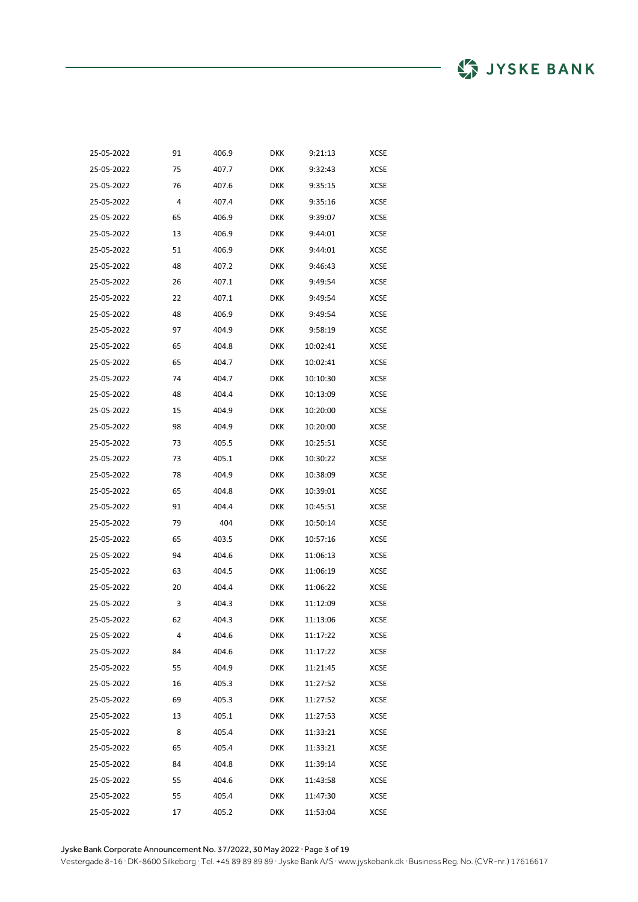| 25-05-2022 | 91 | 406.9 | DKK        | 9:21:13  | XCSE        |
|------------|----|-------|------------|----------|-------------|
| 25-05-2022 | 75 | 407.7 | <b>DKK</b> | 9:32:43  | <b>XCSE</b> |
| 25-05-2022 | 76 | 407.6 | <b>DKK</b> | 9:35:15  | <b>XCSE</b> |
| 25-05-2022 | 4  | 407.4 | <b>DKK</b> | 9:35:16  | <b>XCSE</b> |
| 25-05-2022 | 65 | 406.9 | <b>DKK</b> | 9:39:07  | <b>XCSE</b> |
| 25-05-2022 | 13 | 406.9 | <b>DKK</b> | 9:44:01  | <b>XCSE</b> |
| 25-05-2022 | 51 | 406.9 | <b>DKK</b> | 9:44:01  | <b>XCSE</b> |
| 25-05-2022 | 48 | 407.2 | <b>DKK</b> | 9:46:43  | <b>XCSE</b> |
| 25-05-2022 | 26 | 407.1 | <b>DKK</b> | 9:49:54  | <b>XCSE</b> |
| 25-05-2022 | 22 | 407.1 | <b>DKK</b> | 9:49:54  | <b>XCSE</b> |
| 25-05-2022 | 48 | 406.9 | <b>DKK</b> | 9:49:54  | <b>XCSE</b> |
| 25-05-2022 | 97 | 404.9 | <b>DKK</b> | 9:58:19  | <b>XCSE</b> |
| 25-05-2022 | 65 | 404.8 | <b>DKK</b> | 10:02:41 | <b>XCSE</b> |
| 25-05-2022 | 65 | 404.7 | <b>DKK</b> | 10:02:41 | <b>XCSE</b> |
| 25-05-2022 | 74 | 404.7 | <b>DKK</b> | 10:10:30 | <b>XCSE</b> |
| 25-05-2022 | 48 | 404.4 | DKK        | 10:13:09 | <b>XCSE</b> |
| 25-05-2022 | 15 | 404.9 | DKK        | 10:20:00 | <b>XCSE</b> |
| 25-05-2022 | 98 | 404.9 | <b>DKK</b> | 10:20:00 | XCSE        |
| 25-05-2022 | 73 | 405.5 | <b>DKK</b> | 10:25:51 | XCSE        |
| 25-05-2022 | 73 | 405.1 | DKK        | 10:30:22 | XCSE        |
| 25-05-2022 | 78 | 404.9 | DKK        | 10:38:09 | XCSE        |
| 25-05-2022 | 65 | 404.8 | <b>DKK</b> | 10:39:01 | XCSE        |
| 25-05-2022 | 91 | 404.4 | <b>DKK</b> | 10:45:51 | XCSE        |
| 25-05-2022 | 79 | 404   | DKK        | 10:50:14 | XCSE        |
| 25-05-2022 | 65 | 403.5 | DKK        | 10:57:16 | XCSE        |
| 25-05-2022 | 94 | 404.6 | <b>DKK</b> | 11:06:13 | XCSE        |
| 25-05-2022 | 63 | 404.5 | <b>DKK</b> | 11:06:19 | XCSE        |
| 25-05-2022 | 20 | 404.4 | DKK        | 11:06:22 | XCSE        |
| 25-05-2022 | 3  | 404.3 | DKK        | 11:12:09 | XCSE        |
| 25-05-2022 | 62 | 404.3 | <b>DKK</b> | 11:13:06 | XCSE        |
| 25-05-2022 | 4  | 404.6 | DKK        | 11:17:22 | XCSE        |
| 25-05-2022 | 84 | 404.6 | DKK        | 11:17:22 | XCSE        |
| 25-05-2022 | 55 | 404.9 | DKK        | 11:21:45 | XCSE        |
| 25-05-2022 | 16 | 405.3 | <b>DKK</b> | 11:27:52 | XCSE        |
| 25-05-2022 | 69 | 405.3 | <b>DKK</b> | 11:27:52 | XCSE        |
| 25-05-2022 | 13 | 405.1 | DKK        | 11:27:53 | <b>XCSE</b> |
| 25-05-2022 | 8  | 405.4 | DKK        | 11:33:21 | XCSE        |
| 25-05-2022 | 65 | 405.4 | <b>DKK</b> | 11:33:21 | XCSE        |
| 25-05-2022 | 84 | 404.8 | <b>DKK</b> | 11:39:14 | <b>XCSE</b> |
| 25-05-2022 | 55 | 404.6 | DKK        | 11:43:58 | XCSE        |
| 25-05-2022 | 55 | 405.4 | DKK        | 11:47:30 | XCSE        |
| 25-05-2022 | 17 | 405.2 | <b>DKK</b> | 11:53:04 | XCSE        |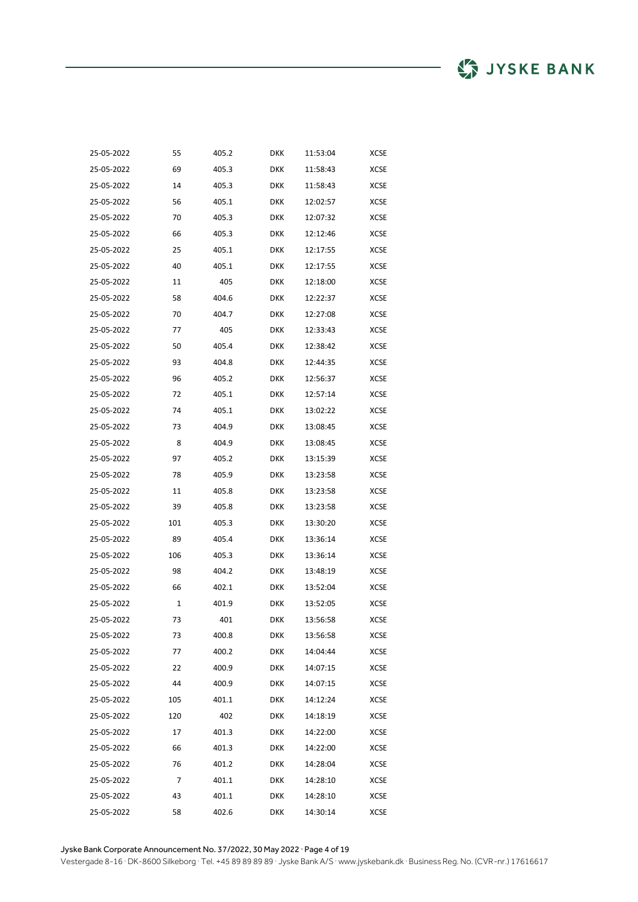| 25-05-2022 | 55  | 405.2 | <b>DKK</b> | 11:53:04 | XCSE        |
|------------|-----|-------|------------|----------|-------------|
| 25-05-2022 | 69  | 405.3 | <b>DKK</b> | 11:58:43 | XCSE        |
| 25-05-2022 | 14  | 405.3 | <b>DKK</b> | 11:58:43 | XCSE        |
| 25-05-2022 | 56  | 405.1 | <b>DKK</b> | 12:02:57 | <b>XCSE</b> |
| 25-05-2022 | 70  | 405.3 | <b>DKK</b> | 12:07:32 | XCSE        |
| 25-05-2022 | 66  | 405.3 | <b>DKK</b> | 12:12:46 | XCSE        |
| 25-05-2022 | 25  | 405.1 | <b>DKK</b> | 12:17:55 | XCSE        |
| 25-05-2022 | 40  | 405.1 | <b>DKK</b> | 12:17:55 | <b>XCSE</b> |
| 25-05-2022 | 11  | 405   | <b>DKK</b> | 12:18:00 | XCSE        |
| 25-05-2022 | 58  | 404.6 | <b>DKK</b> | 12:22:37 | XCSE        |
| 25-05-2022 | 70  | 404.7 | <b>DKK</b> | 12:27:08 | XCSE        |
| 25-05-2022 | 77  | 405   | <b>DKK</b> | 12:33:43 | XCSE        |
| 25-05-2022 | 50  | 405.4 | <b>DKK</b> | 12:38:42 | XCSE        |
| 25-05-2022 | 93  | 404.8 | <b>DKK</b> | 12:44:35 | XCSE        |
| 25-05-2022 | 96  | 405.2 | <b>DKK</b> | 12:56:37 | XCSE        |
| 25-05-2022 | 72  | 405.1 | <b>DKK</b> | 12:57:14 | <b>XCSE</b> |
| 25-05-2022 | 74  | 405.1 | <b>DKK</b> | 13:02:22 | XCSE        |
| 25-05-2022 | 73  | 404.9 | <b>DKK</b> | 13:08:45 | XCSE        |
| 25-05-2022 | 8   | 404.9 | <b>DKK</b> | 13:08:45 | XCSE        |
| 25-05-2022 | 97  | 405.2 | <b>DKK</b> | 13:15:39 | XCSE        |
| 25-05-2022 | 78  | 405.9 | <b>DKK</b> | 13:23:58 | XCSE        |
| 25-05-2022 | 11  | 405.8 | <b>DKK</b> | 13:23:58 | XCSE        |
| 25-05-2022 | 39  | 405.8 | <b>DKK</b> | 13:23:58 | XCSE        |
| 25-05-2022 | 101 | 405.3 | <b>DKK</b> | 13:30:20 | XCSE        |
| 25-05-2022 | 89  | 405.4 | <b>DKK</b> | 13:36:14 | XCSE        |
| 25-05-2022 | 106 | 405.3 | <b>DKK</b> | 13:36:14 | XCSE        |
| 25-05-2022 | 98  | 404.2 | <b>DKK</b> | 13:48:19 | XCSE        |
| 25-05-2022 | 66  | 402.1 | <b>DKK</b> | 13:52:04 | XCSE        |
| 25-05-2022 | 1   | 401.9 | <b>DKK</b> | 13:52:05 | XCSE        |
| 25-05-2022 | 73  | 401   | <b>DKK</b> | 13:56:58 | XCSE        |
| 25-05-2022 | 73  | 400.8 | <b>DKK</b> | 13:56:58 | XCSE        |
| 25-05-2022 | 77  | 400.2 | <b>DKK</b> | 14:04:44 | XCSE        |
| 25-05-2022 | 22  | 400.9 | <b>DKK</b> | 14:07:15 | XCSE        |
| 25-05-2022 | 44  | 400.9 | <b>DKK</b> | 14:07:15 | XCSE        |
| 25-05-2022 | 105 | 401.1 | <b>DKK</b> | 14:12:24 | XCSE        |
| 25-05-2022 | 120 | 402   | <b>DKK</b> | 14:18:19 | XCSE        |
| 25-05-2022 | 17  | 401.3 | DKK        | 14:22:00 | XCSE        |
| 25-05-2022 | 66  | 401.3 | <b>DKK</b> | 14:22:00 | XCSE        |
| 25-05-2022 | 76  | 401.2 | <b>DKK</b> | 14:28:04 | XCSE        |
| 25-05-2022 | 7   | 401.1 | DKK        | 14:28:10 | XCSE        |
| 25-05-2022 | 43  | 401.1 | DKK        | 14:28:10 | XCSE        |
| 25-05-2022 | 58  | 402.6 | <b>DKK</b> | 14:30:14 | <b>XCSE</b> |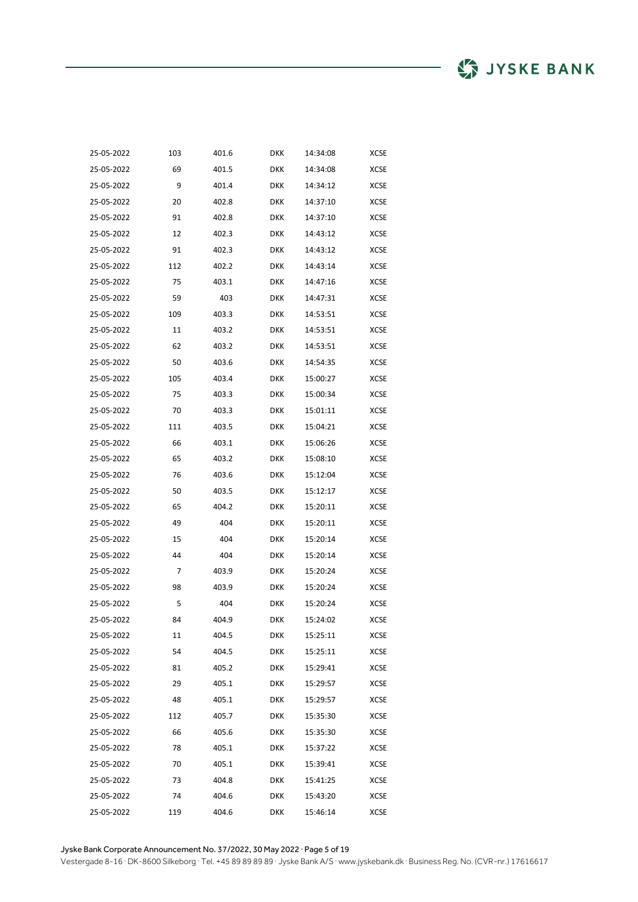| 25-05-2022 | 103 | 401.6 | DKK        | 14:34:08 | <b>XCSE</b> |
|------------|-----|-------|------------|----------|-------------|
| 25-05-2022 | 69  | 401.5 | DKK        | 14:34:08 | XCSE        |
| 25-05-2022 | 9   | 401.4 | DKK        | 14:34:12 | XCSE        |
| 25-05-2022 | 20  | 402.8 | DKK        | 14:37:10 | XCSE        |
| 25-05-2022 | 91  | 402.8 | DKK        | 14:37:10 | XCSE        |
| 25-05-2022 | 12  | 402.3 | DKK        | 14:43:12 | XCSE        |
| 25-05-2022 | 91  | 402.3 | DKK        | 14:43:12 | XCSE        |
| 25-05-2022 | 112 | 402.2 | DKK        | 14:43:14 | <b>XCSE</b> |
| 25-05-2022 | 75  | 403.1 | DKK        | 14:47:16 | <b>XCSE</b> |
| 25-05-2022 | 59  | 403   | DKK        | 14:47:31 | XCSE        |
| 25-05-2022 | 109 | 403.3 | DKK        | 14:53:51 | XCSE        |
| 25-05-2022 | 11  | 403.2 | DKK        | 14:53:51 | XCSE        |
| 25-05-2022 | 62  | 403.2 | DKK        | 14:53:51 | XCSE        |
| 25-05-2022 | 50  | 403.6 | DKK        | 14:54:35 | XCSE        |
| 25-05-2022 | 105 | 403.4 | DKK        | 15:00:27 | XCSE        |
| 25-05-2022 | 75  | 403.3 | <b>DKK</b> | 15:00:34 | XCSE        |
| 25-05-2022 | 70  | 403.3 | <b>DKK</b> | 15:01:11 | XCSE        |
| 25-05-2022 | 111 | 403.5 | <b>DKK</b> | 15:04:21 | XCSE        |
| 25-05-2022 | 66  | 403.1 | <b>DKK</b> | 15:06:26 | XCSE        |
| 25-05-2022 | 65  | 403.2 | <b>DKK</b> | 15:08:10 | <b>XCSE</b> |
| 25-05-2022 | 76  | 403.6 | DKK        | 15:12:04 | XCSE        |
| 25-05-2022 | 50  | 403.5 | <b>DKK</b> | 15:12:17 | <b>XCSE</b> |
| 25-05-2022 | 65  | 404.2 | <b>DKK</b> | 15:20:11 | XCSE        |
| 25-05-2022 | 49  | 404   | <b>DKK</b> | 15:20:11 | <b>XCSE</b> |
| 25-05-2022 | 15  | 404   | DKK        | 15:20:14 | <b>XCSE</b> |
| 25-05-2022 | 44  | 404   | <b>DKK</b> | 15:20:14 | <b>XCSE</b> |
| 25-05-2022 | 7   | 403.9 | <b>DKK</b> | 15:20:24 | <b>XCSE</b> |
| 25-05-2022 | 98  | 403.9 | <b>DKK</b> | 15:20:24 | <b>XCSE</b> |
| 25-05-2022 | 5   | 404   | <b>DKK</b> | 15:20:24 | <b>XCSE</b> |
| 25-05-2022 | 84  | 404.9 | <b>DKK</b> | 15:24:02 | <b>XCSE</b> |
| 25-05-2022 | 11  | 404.5 | <b>DKK</b> | 15:25:11 | <b>XCSE</b> |
| 25-05-2022 | 54  | 404.5 | <b>DKK</b> | 15:25:11 | XCSE        |
| 25-05-2022 | 81  | 405.2 | <b>DKK</b> | 15:29:41 | <b>XCSE</b> |
| 25-05-2022 | 29  | 405.1 | <b>DKK</b> | 15:29:57 | XCSE        |
| 25-05-2022 | 48  | 405.1 | <b>DKK</b> | 15:29:57 | XCSE        |
| 25-05-2022 | 112 | 405.7 | <b>DKK</b> | 15:35:30 | XCSE        |
| 25-05-2022 | 66  | 405.6 | <b>DKK</b> | 15:35:30 | XCSE        |
| 25-05-2022 | 78  | 405.1 | <b>DKK</b> | 15:37:22 | XCSE        |
| 25-05-2022 | 70  | 405.1 | <b>DKK</b> | 15:39:41 | XCSE        |
| 25-05-2022 | 73  | 404.8 | <b>DKK</b> | 15:41:25 | XCSE        |
| 25-05-2022 | 74  | 404.6 | <b>DKK</b> | 15:43:20 | XCSE        |
| 25-05-2022 | 119 | 404.6 | <b>DKK</b> | 15:46:14 | XCSE        |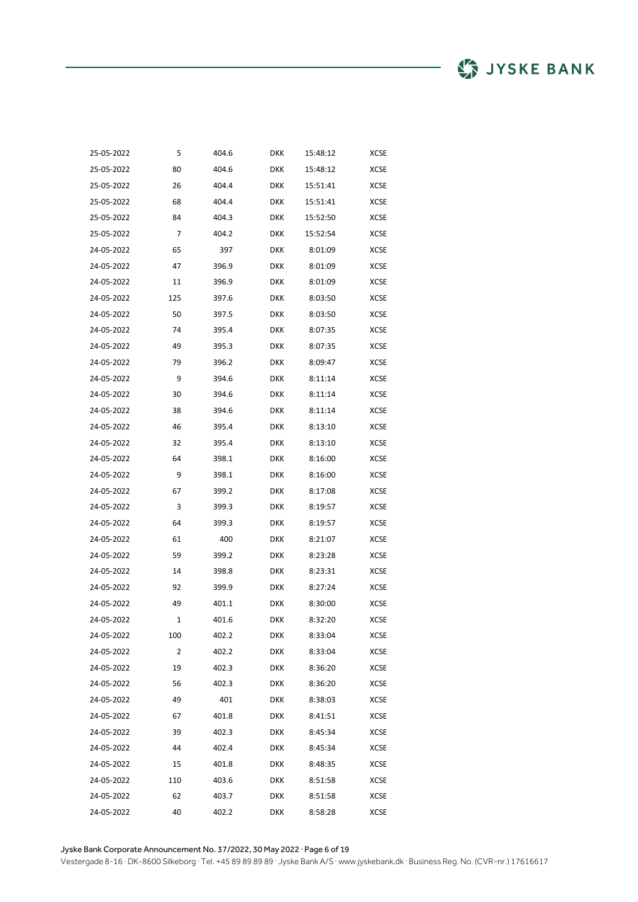| 25-05-2022 | 5   | 404.6 | <b>DKK</b> | 15:48:12 | <b>XCSE</b> |
|------------|-----|-------|------------|----------|-------------|
| 25-05-2022 | 80  | 404.6 | <b>DKK</b> | 15:48:12 | XCSE        |
| 25-05-2022 | 26  | 404.4 | <b>DKK</b> | 15:51:41 | XCSE        |
| 25-05-2022 | 68  | 404.4 | <b>DKK</b> | 15:51:41 | <b>XCSE</b> |
| 25-05-2022 | 84  | 404.3 | <b>DKK</b> | 15:52:50 | <b>XCSE</b> |
| 25-05-2022 | 7   | 404.2 | <b>DKK</b> | 15:52:54 | XCSE        |
| 24-05-2022 | 65  | 397   | <b>DKK</b> | 8:01:09  | XCSE        |
| 24-05-2022 | 47  | 396.9 | <b>DKK</b> | 8:01:09  | <b>XCSE</b> |
| 24-05-2022 | 11  | 396.9 | <b>DKK</b> | 8:01:09  | XCSE        |
| 24-05-2022 | 125 | 397.6 | <b>DKK</b> | 8:03:50  | XCSE        |
| 24-05-2022 | 50  | 397.5 | <b>DKK</b> | 8:03:50  | XCSE        |
| 24-05-2022 | 74  | 395.4 | <b>DKK</b> | 8:07:35  | XCSE        |
| 24-05-2022 | 49  | 395.3 | <b>DKK</b> | 8:07:35  | XCSE        |
| 24-05-2022 | 79  | 396.2 | <b>DKK</b> | 8:09:47  | XCSE        |
| 24-05-2022 | 9   | 394.6 | <b>DKK</b> | 8:11:14  | XCSE        |
| 24-05-2022 | 30  | 394.6 | <b>DKK</b> | 8:11:14  | <b>XCSE</b> |
| 24-05-2022 | 38  | 394.6 | <b>DKK</b> | 8:11:14  | <b>XCSE</b> |
| 24-05-2022 | 46  | 395.4 | <b>DKK</b> | 8:13:10  | <b>XCSE</b> |
| 24-05-2022 | 32  | 395.4 | <b>DKK</b> | 8:13:10  | <b>XCSE</b> |
| 24-05-2022 | 64  | 398.1 | <b>DKK</b> | 8:16:00  | <b>XCSE</b> |
| 24-05-2022 | 9   | 398.1 | <b>DKK</b> | 8:16:00  | <b>XCSE</b> |
| 24-05-2022 | 67  | 399.2 | DKK        | 8:17:08  | <b>XCSE</b> |
| 24-05-2022 | 3   | 399.3 | <b>DKK</b> | 8:19:57  | <b>XCSE</b> |
| 24-05-2022 | 64  | 399.3 | <b>DKK</b> | 8:19:57  | <b>XCSE</b> |
| 24-05-2022 | 61  | 400   | <b>DKK</b> | 8:21:07  | <b>XCSE</b> |
| 24-05-2022 | 59  | 399.2 | <b>DKK</b> | 8:23:28  | <b>XCSE</b> |
| 24-05-2022 | 14  | 398.8 | <b>DKK</b> | 8:23:31  | <b>XCSE</b> |
| 24-05-2022 | 92  | 399.9 | <b>DKK</b> | 8:27:24  | <b>XCSE</b> |
| 24-05-2022 | 49  | 401.1 | <b>DKK</b> | 8:30:00  | <b>XCSE</b> |
| 24-05-2022 | 1   | 401.6 | <b>DKK</b> | 8:32:20  | <b>XCSE</b> |
| 24-05-2022 | 100 | 402.2 | <b>DKK</b> | 8:33:04  | XCSE        |
| 24-05-2022 | 2   | 402.2 | <b>DKK</b> | 8:33:04  | XCSE        |
| 24-05-2022 | 19  | 402.3 | DKK        | 8:36:20  | <b>XCSE</b> |
| 24-05-2022 | 56  | 402.3 | <b>DKK</b> | 8:36:20  | <b>XCSE</b> |
| 24-05-2022 | 49  | 401   | <b>DKK</b> | 8:38:03  | XCSE        |
| 24-05-2022 | 67  | 401.8 | <b>DKK</b> | 8:41:51  | XCSE        |
| 24-05-2022 | 39  | 402.3 | <b>DKK</b> | 8:45:34  | <b>XCSE</b> |
| 24-05-2022 | 44  | 402.4 | <b>DKK</b> | 8:45:34  | <b>XCSE</b> |
| 24-05-2022 | 15  | 401.8 | <b>DKK</b> | 8:48:35  | XCSE        |
| 24-05-2022 | 110 | 403.6 | DKK        | 8:51:58  | XCSE        |
| 24-05-2022 | 62  | 403.7 | DKK        | 8:51:58  | XCSE        |
| 24-05-2022 | 40  | 402.2 | <b>DKK</b> | 8:58:28  | <b>XCSE</b> |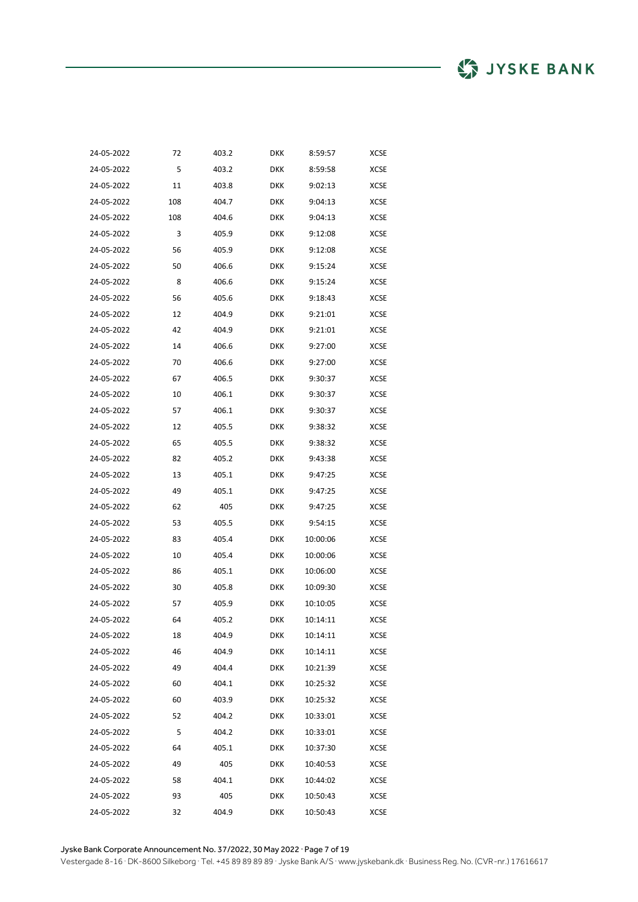| 24-05-2022 | 72  | 403.2 | DKK        | 8:59:57  | <b>XCSE</b> |
|------------|-----|-------|------------|----------|-------------|
| 24-05-2022 | 5   | 403.2 | <b>DKK</b> | 8:59:58  | <b>XCSE</b> |
| 24-05-2022 | 11  | 403.8 | <b>DKK</b> | 9:02:13  | <b>XCSE</b> |
| 24-05-2022 | 108 | 404.7 | <b>DKK</b> | 9:04:13  | <b>XCSE</b> |
| 24-05-2022 | 108 | 404.6 | <b>DKK</b> | 9:04:13  | <b>XCSE</b> |
| 24-05-2022 | 3   | 405.9 | <b>DKK</b> | 9:12:08  | <b>XCSE</b> |
| 24-05-2022 | 56  | 405.9 | <b>DKK</b> | 9:12:08  | XCSE        |
| 24-05-2022 | 50  | 406.6 | <b>DKK</b> | 9:15:24  | <b>XCSE</b> |
| 24-05-2022 | 8   | 406.6 | <b>DKK</b> | 9:15:24  | <b>XCSE</b> |
| 24-05-2022 | 56  | 405.6 | <b>DKK</b> | 9:18:43  | <b>XCSE</b> |
| 24-05-2022 | 12  | 404.9 | <b>DKK</b> | 9:21:01  | XCSE        |
| 24-05-2022 | 42  | 404.9 | <b>DKK</b> | 9:21:01  | <b>XCSE</b> |
| 24-05-2022 | 14  | 406.6 | <b>DKK</b> | 9:27:00  | <b>XCSE</b> |
| 24-05-2022 | 70  | 406.6 | <b>DKK</b> | 9:27:00  | <b>XCSE</b> |
| 24-05-2022 | 67  | 406.5 | <b>DKK</b> | 9:30:37  | <b>XCSE</b> |
| 24-05-2022 | 10  | 406.1 | DKK        | 9:30:37  | XCSE        |
| 24-05-2022 | 57  | 406.1 | DKK        | 9:30:37  | <b>XCSE</b> |
| 24-05-2022 | 12  | 405.5 | <b>DKK</b> | 9:38:32  | XCSE        |
| 24-05-2022 | 65  | 405.5 | <b>DKK</b> | 9:38:32  | <b>XCSE</b> |
| 24-05-2022 | 82  | 405.2 | DKK        | 9:43:38  | XCSE        |
| 24-05-2022 | 13  | 405.1 | <b>DKK</b> | 9:47:25  | XCSE        |
| 24-05-2022 | 49  | 405.1 | <b>DKK</b> | 9:47:25  | XCSE        |
| 24-05-2022 | 62  | 405   | <b>DKK</b> | 9:47:25  | XCSE        |
| 24-05-2022 | 53  | 405.5 | DKK        | 9:54:15  | XCSE        |
| 24-05-2022 | 83  | 405.4 | DKK        | 10:00:06 | XCSE        |
| 24-05-2022 | 10  | 405.4 | <b>DKK</b> | 10:00:06 | XCSE        |
| 24-05-2022 | 86  | 405.1 | <b>DKK</b> | 10:06:00 | XCSE        |
| 24-05-2022 | 30  | 405.8 | DKK        | 10:09:30 | <b>XCSE</b> |
| 24-05-2022 | 57  | 405.9 | DKK        | 10:10:05 | <b>XCSE</b> |
| 24-05-2022 | 64  | 405.2 | DKK        | 10:14:11 | XCSE        |
| 24-05-2022 | 18  | 404.9 | <b>DKK</b> | 10:14:11 | XCSE        |
| 24-05-2022 | 46  | 404.9 | DKK        | 10:14:11 | XCSE        |
| 24-05-2022 | 49  | 404.4 | DKK        | 10:21:39 | XCSE        |
| 24-05-2022 | 60  | 404.1 | <b>DKK</b> | 10:25:32 | XCSE        |
| 24-05-2022 | 60  | 403.9 | <b>DKK</b> | 10:25:32 | XCSE        |
| 24-05-2022 | 52  | 404.2 | DKK        | 10:33:01 | XCSE        |
| 24-05-2022 | 5   | 404.2 | DKK        | 10:33:01 | XCSE        |
| 24-05-2022 | 64  | 405.1 | <b>DKK</b> | 10:37:30 | XCSE        |
| 24-05-2022 | 49  | 405   | <b>DKK</b> | 10:40:53 | XCSE        |
| 24-05-2022 | 58  | 404.1 | DKK        | 10:44:02 | XCSE        |
| 24-05-2022 | 93  | 405   | DKK        | 10:50:43 | XCSE        |
| 24-05-2022 | 32  | 404.9 | DKK        | 10:50:43 | XCSE        |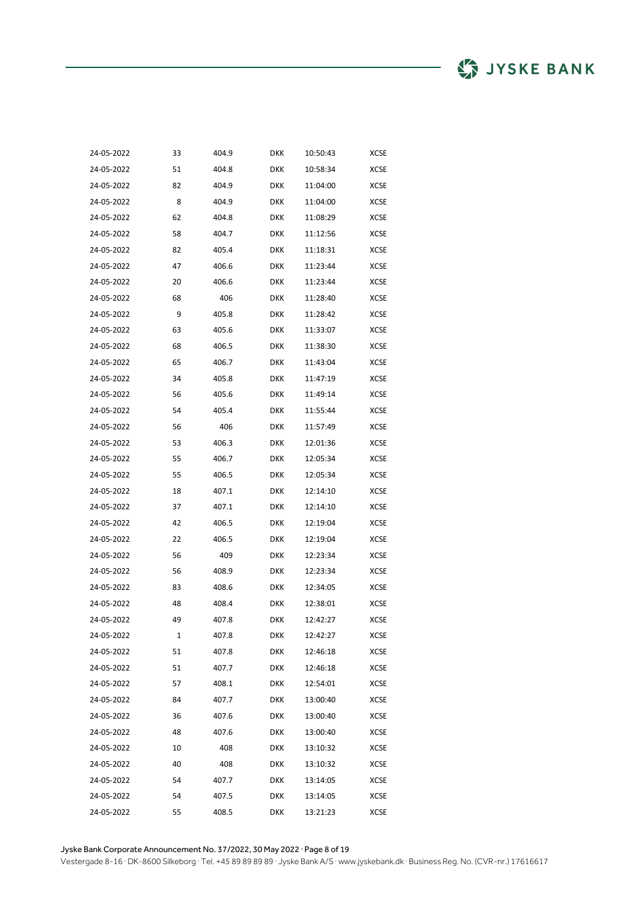| 24-05-2022 | 33 | 404.9 | DKK        | 10:50:43 | <b>XCSE</b> |
|------------|----|-------|------------|----------|-------------|
| 24-05-2022 | 51 | 404.8 | DKK        | 10:58:34 | XCSE        |
| 24-05-2022 | 82 | 404.9 | <b>DKK</b> | 11:04:00 | XCSE        |
| 24-05-2022 | 8  | 404.9 | <b>DKK</b> | 11:04:00 | XCSE        |
| 24-05-2022 | 62 | 404.8 | <b>DKK</b> | 11:08:29 | XCSE        |
| 24-05-2022 | 58 | 404.7 | <b>DKK</b> | 11:12:56 | XCSE        |
| 24-05-2022 | 82 | 405.4 | <b>DKK</b> | 11:18:31 | XCSE        |
| 24-05-2022 | 47 | 406.6 | DKK        | 11:23:44 | XCSE        |
| 24-05-2022 | 20 | 406.6 | <b>DKK</b> | 11:23:44 | XCSE        |
| 24-05-2022 | 68 | 406   | <b>DKK</b> | 11:28:40 | <b>XCSE</b> |
| 24-05-2022 | 9  | 405.8 | <b>DKK</b> | 11:28:42 | XCSE        |
| 24-05-2022 | 63 | 405.6 | DKK        | 11:33:07 | XCSE        |
| 24-05-2022 | 68 | 406.5 | DKK        | 11:38:30 | XCSE        |
| 24-05-2022 | 65 | 406.7 | <b>DKK</b> | 11:43:04 | XCSE        |
| 24-05-2022 | 34 | 405.8 | <b>DKK</b> | 11:47:19 | XCSE        |
| 24-05-2022 | 56 | 405.6 | DKK        | 11:49:14 | XCSE        |
| 24-05-2022 | 54 | 405.4 | DKK        | 11:55:44 | XCSE        |
| 24-05-2022 | 56 | 406   | DKK        | 11:57:49 | XCSE        |
| 24-05-2022 | 53 | 406.3 | DKK        | 12:01:36 | XCSE        |
| 24-05-2022 | 55 | 406.7 | DKK        | 12:05:34 | XCSE        |
| 24-05-2022 | 55 | 406.5 | DKK        | 12:05:34 | XCSE        |
| 24-05-2022 | 18 | 407.1 | DKK        | 12:14:10 | XCSE        |
| 24-05-2022 | 37 | 407.1 | DKK        | 12:14:10 | XCSE        |
| 24-05-2022 | 42 | 406.5 | DKK        | 12:19:04 | XCSE        |
| 24-05-2022 | 22 | 406.5 | DKK        | 12:19:04 | XCSE        |
| 24-05-2022 | 56 | 409   | DKK        | 12:23:34 | XCSE        |
| 24-05-2022 | 56 | 408.9 | DKK        | 12:23:34 | XCSE        |
| 24-05-2022 | 83 | 408.6 | DKK        | 12:34:05 | XCSE        |
| 24-05-2022 | 48 | 408.4 | DKK        | 12:38:01 | XCSE        |
| 24-05-2022 | 49 | 407.8 | DKK        | 12:42:27 | XCSE        |
| 24-05-2022 | 1  | 407.8 | DKK        | 12:42:27 | XCSE        |
| 24-05-2022 | 51 | 407.8 | DKK        | 12:46:18 | <b>XCSE</b> |
| 24-05-2022 | 51 | 407.7 | <b>DKK</b> | 12:46:18 | XCSE        |
| 24-05-2022 | 57 | 408.1 | DKK        | 12:54:01 | XCSE        |
| 24-05-2022 | 84 | 407.7 | <b>DKK</b> | 13:00:40 | XCSE        |
| 24-05-2022 | 36 | 407.6 | DKK        | 13:00:40 | XCSE        |
| 24-05-2022 | 48 | 407.6 | <b>DKK</b> | 13:00:40 | XCSE        |
| 24-05-2022 | 10 | 408   | DKK        | 13:10:32 | <b>XCSE</b> |
| 24-05-2022 | 40 | 408   | <b>DKK</b> | 13:10:32 | XCSE        |
| 24-05-2022 | 54 | 407.7 | DKK        | 13:14:05 | XCSE        |
| 24-05-2022 | 54 | 407.5 | DKK        | 13:14:05 | XCSE        |
| 24-05-2022 | 55 | 408.5 | <b>DKK</b> | 13:21:23 | XCSE        |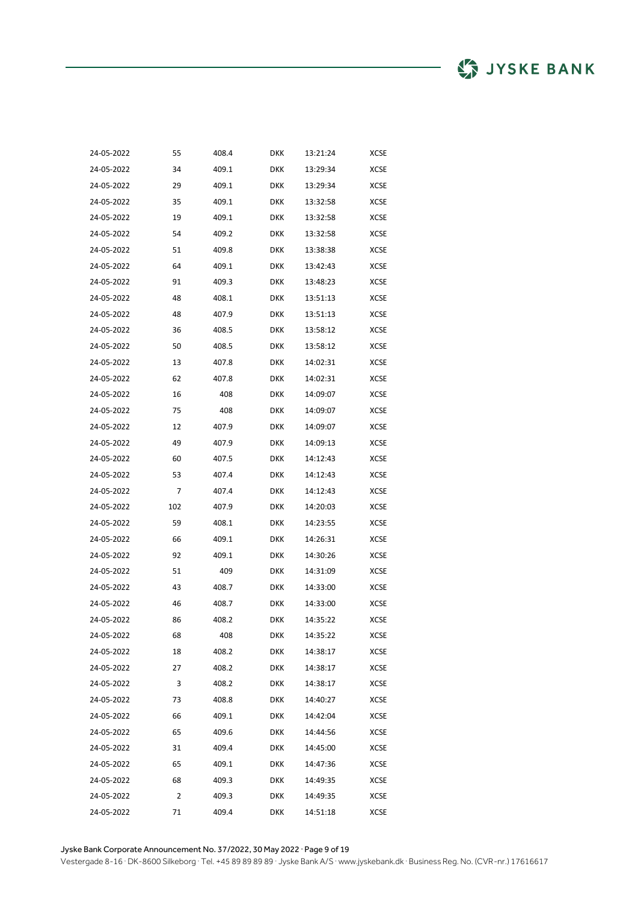| 24-05-2022 | 55  | 408.4 | DKK        | 13:21:24 | XCSE        |
|------------|-----|-------|------------|----------|-------------|
| 24-05-2022 | 34  | 409.1 | DKK        | 13:29:34 | XCSE        |
| 24-05-2022 | 29  | 409.1 | DKK        | 13:29:34 | XCSE        |
| 24-05-2022 | 35  | 409.1 | DKK        | 13:32:58 | <b>XCSE</b> |
| 24-05-2022 | 19  | 409.1 | DKK        | 13:32:58 | XCSE        |
| 24-05-2022 | 54  | 409.2 | DKK        | 13:32:58 | XCSE        |
| 24-05-2022 | 51  | 409.8 | DKK        | 13:38:38 | XCSE        |
| 24-05-2022 | 64  | 409.1 | DKK        | 13:42:43 | XCSE        |
| 24-05-2022 | 91  | 409.3 | DKK        | 13:48:23 | XCSE        |
| 24-05-2022 | 48  | 408.1 | DKK        | 13:51:13 | XCSE        |
| 24-05-2022 | 48  | 407.9 | DKK        | 13:51:13 | XCSE        |
| 24-05-2022 | 36  | 408.5 | DKK        | 13:58:12 | XCSE        |
| 24-05-2022 | 50  | 408.5 | DKK        | 13:58:12 | XCSE        |
| 24-05-2022 | 13  | 407.8 | DKK        | 14:02:31 | XCSE        |
| 24-05-2022 | 62  | 407.8 | DKK        | 14:02:31 | <b>XCSE</b> |
| 24-05-2022 | 16  | 408   | <b>DKK</b> | 14:09:07 | XCSE        |
| 24-05-2022 | 75  | 408   | <b>DKK</b> | 14:09:07 | XCSE        |
| 24-05-2022 | 12  | 407.9 | <b>DKK</b> | 14:09:07 | XCSE        |
| 24-05-2022 | 49  | 407.9 | <b>DKK</b> | 14:09:13 | XCSE        |
| 24-05-2022 | 60  | 407.5 | <b>DKK</b> | 14:12:43 | <b>XCSE</b> |
| 24-05-2022 | 53  | 407.4 | DKK        | 14:12:43 | XCSE        |
| 24-05-2022 | 7   | 407.4 | <b>DKK</b> | 14:12:43 | XCSE        |
| 24-05-2022 | 102 | 407.9 | DKK        | 14:20:03 | XCSE        |
| 24-05-2022 | 59  | 408.1 | <b>DKK</b> | 14:23:55 | <b>XCSE</b> |
| 24-05-2022 | 66  | 409.1 | DKK        | 14:26:31 | <b>XCSE</b> |
| 24-05-2022 | 92  | 409.1 | DKK        | 14:30:26 | XCSE        |
| 24-05-2022 | 51  | 409   | <b>DKK</b> | 14:31:09 | XCSE        |
| 24-05-2022 | 43  | 408.7 | DKK        | 14:33:00 | <b>XCSE</b> |
| 24-05-2022 | 46  | 408.7 | <b>DKK</b> | 14:33:00 | XCSE        |
| 24-05-2022 | 86  | 408.2 | DKK        | 14:35:22 | XCSE        |
| 24-05-2022 | 68  | 408   | <b>DKK</b> | 14:35:22 | XCSE        |
| 24-05-2022 | 18  | 408.2 | DKK        | 14:38:17 | <b>XCSE</b> |
| 24-05-2022 | 27  | 408.2 | <b>DKK</b> | 14:38:17 | XCSE        |
| 24-05-2022 | 3   | 408.2 | <b>DKK</b> | 14:38:17 | <b>XCSE</b> |
| 24-05-2022 | 73  | 408.8 | <b>DKK</b> | 14:40:27 | XCSE        |
| 24-05-2022 | 66  | 409.1 | <b>DKK</b> | 14:42:04 | XCSE        |
| 24-05-2022 | 65  | 409.6 | <b>DKK</b> | 14:44:56 | XCSE        |
| 24-05-2022 | 31  | 409.4 | <b>DKK</b> | 14:45:00 | <b>XCSE</b> |
| 24-05-2022 | 65  | 409.1 | <b>DKK</b> | 14:47:36 | <b>XCSE</b> |
| 24-05-2022 | 68  | 409.3 | <b>DKK</b> | 14:49:35 | XCSE        |
| 24-05-2022 | 2   | 409.3 | DKK        | 14:49:35 | XCSE        |
| 24-05-2022 | 71  | 409.4 | <b>DKK</b> | 14:51:18 | XCSE        |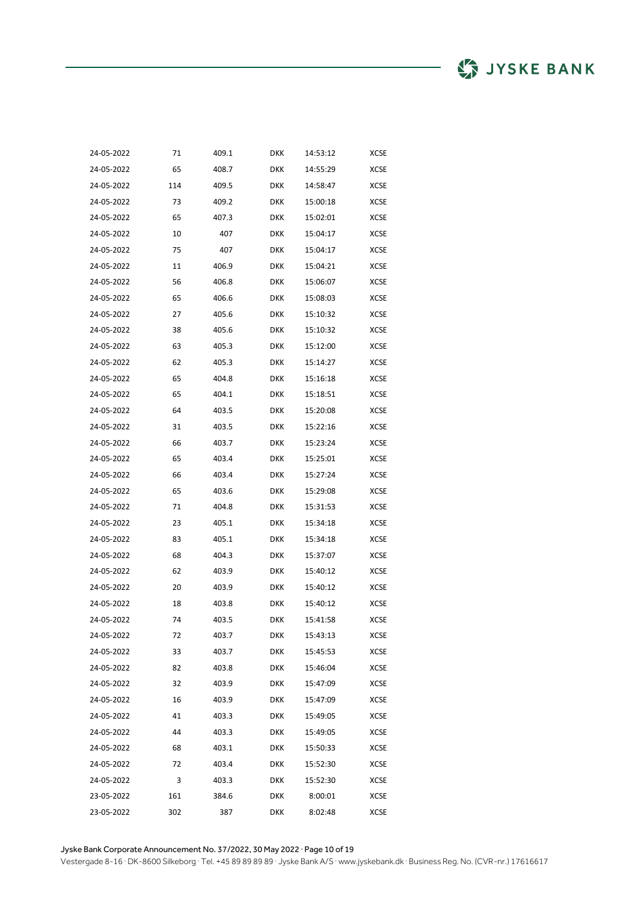| 24-05-2022 | 71  | 409.1 | DKK        | 14:53:12 | XCSE        |
|------------|-----|-------|------------|----------|-------------|
| 24-05-2022 | 65  | 408.7 | DKK        | 14:55:29 | XCSE        |
| 24-05-2022 | 114 | 409.5 | DKK        | 14:58:47 | XCSE        |
| 24-05-2022 | 73  | 409.2 | DKK        | 15:00:18 | XCSE        |
| 24-05-2022 | 65  | 407.3 | DKK        | 15:02:01 | XCSE        |
| 24-05-2022 | 10  | 407   | DKK        | 15:04:17 | XCSE        |
| 24-05-2022 | 75  | 407   | DKK        | 15:04:17 | XCSE        |
| 24-05-2022 | 11  | 406.9 | DKK        | 15:04:21 | XCSE        |
| 24-05-2022 | 56  | 406.8 | DKK        | 15:06:07 | <b>XCSE</b> |
| 24-05-2022 | 65  | 406.6 | DKK        | 15:08:03 | XCSE        |
| 24-05-2022 | 27  | 405.6 | DKK        | 15:10:32 | XCSE        |
| 24-05-2022 | 38  | 405.6 | DKK        | 15:10:32 | XCSE        |
| 24-05-2022 | 63  | 405.3 | DKK        | 15:12:00 | XCSE        |
| 24-05-2022 | 62  | 405.3 | DKK        | 15:14:27 | XCSE        |
| 24-05-2022 | 65  | 404.8 | DKK        | 15:16:18 | <b>XCSE</b> |
| 24-05-2022 | 65  | 404.1 | <b>DKK</b> | 15:18:51 | <b>XCSE</b> |
| 24-05-2022 | 64  | 403.5 | DKK        | 15:20:08 | <b>XCSE</b> |
| 24-05-2022 | 31  | 403.5 | <b>DKK</b> | 15:22:16 | XCSE        |
| 24-05-2022 | 66  | 403.7 | <b>DKK</b> | 15:23:24 | XCSE        |
| 24-05-2022 | 65  | 403.4 | <b>DKK</b> | 15:25:01 | <b>XCSE</b> |
| 24-05-2022 | 66  | 403.4 | DKK        | 15:27:24 | <b>XCSE</b> |
| 24-05-2022 | 65  | 403.6 | <b>DKK</b> | 15:29:08 | XCSE        |
| 24-05-2022 | 71  | 404.8 | <b>DKK</b> | 15:31:53 | XCSE        |
| 24-05-2022 | 23  | 405.1 | <b>DKK</b> | 15:34:18 | <b>XCSE</b> |
| 24-05-2022 | 83  | 405.1 | DKK        | 15:34:18 | <b>XCSE</b> |
| 24-05-2022 | 68  | 404.3 | <b>DKK</b> | 15:37:07 | XCSE        |
| 24-05-2022 | 62  | 403.9 | DKK        | 15:40:12 | XCSE        |
| 24-05-2022 | 20  | 403.9 | <b>DKK</b> | 15:40:12 | <b>XCSE</b> |
| 24-05-2022 | 18  | 403.8 | DKK        | 15:40:12 | XCSE        |
| 24-05-2022 | 74  | 403.5 | DKK        | 15:41:58 | XCSE        |
| 24-05-2022 | 72  | 403.7 | <b>DKK</b> | 15:43:13 | XCSE        |
| 24-05-2022 | 33  | 403.7 | DKK        | 15:45:53 | <b>XCSE</b> |
| 24-05-2022 | 82  | 403.8 | <b>DKK</b> | 15:46:04 | XCSE        |
| 24-05-2022 | 32  | 403.9 | <b>DKK</b> | 15:47:09 | <b>XCSE</b> |
| 24-05-2022 | 16  | 403.9 | <b>DKK</b> | 15:47:09 | XCSE        |
| 24-05-2022 | 41  | 403.3 | <b>DKK</b> | 15:49:05 | XCSE        |
| 24-05-2022 | 44  | 403.3 | <b>DKK</b> | 15:49:05 | XCSE        |
| 24-05-2022 | 68  | 403.1 | <b>DKK</b> | 15:50:33 | <b>XCSE</b> |
| 24-05-2022 | 72  | 403.4 | DKK        | 15:52:30 | XCSE        |
| 24-05-2022 | 3   | 403.3 | <b>DKK</b> | 15:52:30 | XCSE        |
| 23-05-2022 | 161 | 384.6 | DKK        | 8:00:01  | XCSE        |
| 23-05-2022 | 302 | 387   | <b>DKK</b> | 8:02:48  | XCSE        |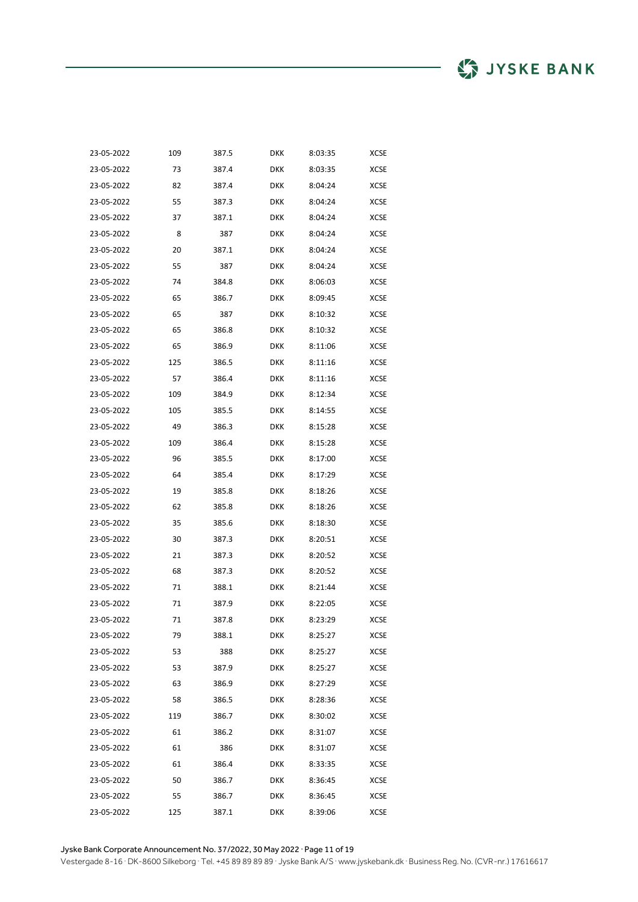| 23-05-2022 | 109 | 387.5 | DKK        | 8:03:35 | <b>XCSE</b> |
|------------|-----|-------|------------|---------|-------------|
| 23-05-2022 | 73  | 387.4 | <b>DKK</b> | 8:03:35 | <b>XCSE</b> |
| 23-05-2022 | 82  | 387.4 | <b>DKK</b> | 8:04:24 | XCSE        |
| 23-05-2022 | 55  | 387.3 | <b>DKK</b> | 8:04:24 | <b>XCSE</b> |
| 23-05-2022 | 37  | 387.1 | <b>DKK</b> | 8:04:24 | <b>XCSE</b> |
| 23-05-2022 | 8   | 387   | <b>DKK</b> | 8:04:24 | <b>XCSE</b> |
| 23-05-2022 | 20  | 387.1 | <b>DKK</b> | 8:04:24 | XCSE        |
| 23-05-2022 | 55  | 387   | <b>DKK</b> | 8:04:24 | <b>XCSE</b> |
| 23-05-2022 | 74  | 384.8 | <b>DKK</b> | 8:06:03 | <b>XCSE</b> |
| 23-05-2022 | 65  | 386.7 | DKK        | 8:09:45 | <b>XCSE</b> |
| 23-05-2022 | 65  | 387   | <b>DKK</b> | 8:10:32 | <b>XCSE</b> |
| 23-05-2022 | 65  | 386.8 | DKK        | 8:10:32 | <b>XCSE</b> |
| 23-05-2022 | 65  | 386.9 | <b>DKK</b> | 8:11:06 | <b>XCSE</b> |
| 23-05-2022 | 125 | 386.5 | DKK        | 8:11:16 | XCSE        |
| 23-05-2022 | 57  | 386.4 | <b>DKK</b> | 8:11:16 | XCSE        |
| 23-05-2022 | 109 | 384.9 | <b>DKK</b> | 8:12:34 | XCSE        |
| 23-05-2022 | 105 | 385.5 | DKK        | 8:14:55 | XCSE        |
| 23-05-2022 | 49  | 386.3 | <b>DKK</b> | 8:15:28 | <b>XCSE</b> |
| 23-05-2022 | 109 | 386.4 | <b>DKK</b> | 8:15:28 | XCSE        |
| 23-05-2022 | 96  | 385.5 | <b>DKK</b> | 8:17:00 | XCSE        |
| 23-05-2022 | 64  | 385.4 | DKK        | 8:17:29 | XCSE        |
| 23-05-2022 | 19  | 385.8 | DKK        | 8:18:26 | XCSE        |
| 23-05-2022 | 62  | 385.8 | <b>DKK</b> | 8:18:26 | XCSE        |
| 23-05-2022 | 35  | 385.6 | DKK        | 8:18:30 | XCSE        |
| 23-05-2022 | 30  | 387.3 | DKK        | 8:20:51 | XCSE        |
| 23-05-2022 | 21  | 387.3 | DKK        | 8:20:52 | XCSE        |
| 23-05-2022 | 68  | 387.3 | DKK        | 8:20:52 | XCSE        |
| 23-05-2022 | 71  | 388.1 | <b>DKK</b> | 8:21:44 | <b>XCSE</b> |
| 23-05-2022 | 71  | 387.9 | DKK        | 8:22:05 | XCSE        |
| 23-05-2022 | 71  | 387.8 | <b>DKK</b> | 8:23:29 | <b>XCSE</b> |
| 23-05-2022 | 79  | 388.1 | <b>DKK</b> | 8:25:27 | <b>XCSE</b> |
| 23-05-2022 | 53  | 388   | <b>DKK</b> | 8:25:27 | XCSE        |
| 23-05-2022 | 53  | 387.9 | <b>DKK</b> | 8:25:27 | XCSE        |
| 23-05-2022 | 63  | 386.9 | <b>DKK</b> | 8:27:29 | XCSE        |
| 23-05-2022 | 58  | 386.5 | <b>DKK</b> | 8:28:36 | XCSE        |
| 23-05-2022 | 119 | 386.7 | <b>DKK</b> | 8:30:02 | <b>XCSE</b> |
| 23-05-2022 | 61  | 386.2 | <b>DKK</b> | 8:31:07 | XCSE        |
| 23-05-2022 | 61  | 386   | <b>DKK</b> | 8:31:07 | <b>XCSE</b> |
| 23-05-2022 | 61  | 386.4 | <b>DKK</b> | 8:33:35 | XCSE        |
| 23-05-2022 | 50  | 386.7 | <b>DKK</b> | 8:36:45 | XCSE        |
| 23-05-2022 | 55  | 386.7 | <b>DKK</b> | 8:36:45 | XCSE        |
| 23-05-2022 | 125 | 387.1 | <b>DKK</b> | 8:39:06 | XCSE        |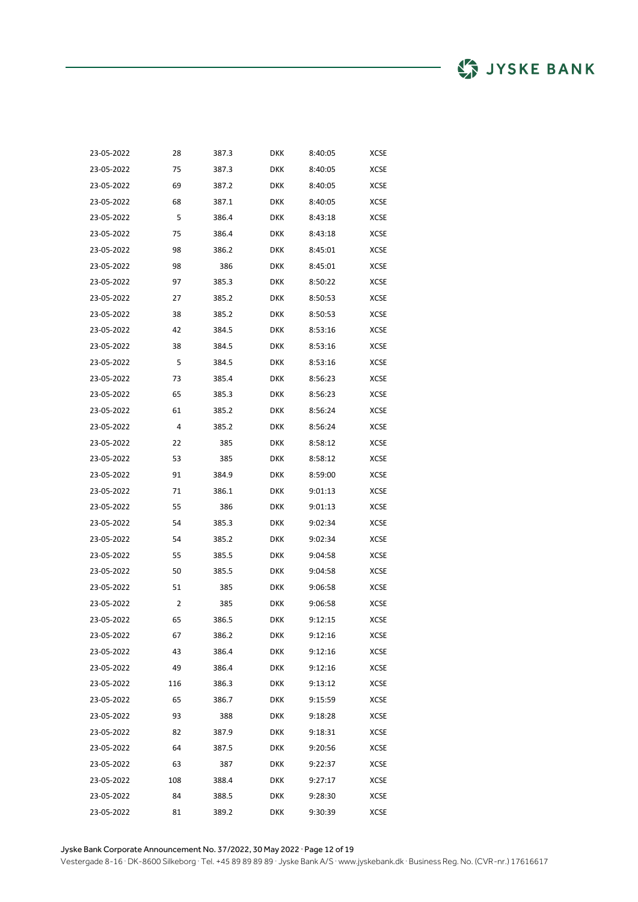| 23-05-2022 | 28  | 387.3 | <b>DKK</b> | 8:40:05 | <b>XCSE</b> |
|------------|-----|-------|------------|---------|-------------|
| 23-05-2022 | 75  | 387.3 | <b>DKK</b> | 8:40:05 | <b>XCSE</b> |
| 23-05-2022 | 69  | 387.2 | <b>DKK</b> | 8:40:05 | <b>XCSE</b> |
| 23-05-2022 | 68  | 387.1 | <b>DKK</b> | 8:40:05 | <b>XCSE</b> |
| 23-05-2022 | 5   | 386.4 | <b>DKK</b> | 8:43:18 | <b>XCSE</b> |
| 23-05-2022 | 75  | 386.4 | <b>DKK</b> | 8:43:18 | <b>XCSE</b> |
| 23-05-2022 | 98  | 386.2 | <b>DKK</b> | 8:45:01 | XCSE        |
| 23-05-2022 | 98  | 386   | <b>DKK</b> | 8:45:01 | <b>XCSE</b> |
| 23-05-2022 | 97  | 385.3 | <b>DKK</b> | 8:50:22 | <b>XCSE</b> |
| 23-05-2022 | 27  | 385.2 | <b>DKK</b> | 8:50:53 | <b>XCSE</b> |
| 23-05-2022 | 38  | 385.2 | <b>DKK</b> | 8:50:53 | XCSE        |
| 23-05-2022 | 42  | 384.5 | <b>DKK</b> | 8:53:16 | <b>XCSE</b> |
| 23-05-2022 | 38  | 384.5 | <b>DKK</b> | 8:53:16 | <b>XCSE</b> |
| 23-05-2022 | 5   | 384.5 | <b>DKK</b> | 8:53:16 | <b>XCSE</b> |
| 23-05-2022 | 73  | 385.4 | <b>DKK</b> | 8:56:23 | <b>XCSE</b> |
| 23-05-2022 | 65  | 385.3 | <b>DKK</b> | 8:56:23 | XCSE        |
| 23-05-2022 | 61  | 385.2 | <b>DKK</b> | 8:56:24 | XCSE        |
| 23-05-2022 | 4   | 385.2 | <b>DKK</b> | 8:56:24 | XCSE        |
| 23-05-2022 | 22  | 385   | <b>DKK</b> | 8:58:12 | <b>XCSE</b> |
| 23-05-2022 | 53  | 385   | <b>DKK</b> | 8:58:12 | XCSE        |
| 23-05-2022 | 91  | 384.9 | <b>DKK</b> | 8:59:00 | XCSE        |
| 23-05-2022 | 71  | 386.1 | <b>DKK</b> | 9:01:13 | XCSE        |
| 23-05-2022 | 55  | 386   | <b>DKK</b> | 9:01:13 | XCSE        |
| 23-05-2022 | 54  | 385.3 | <b>DKK</b> | 9:02:34 | XCSE        |
| 23-05-2022 | 54  | 385.2 | <b>DKK</b> | 9:02:34 | XCSE        |
| 23-05-2022 | 55  | 385.5 | <b>DKK</b> | 9:04:58 | XCSE        |
| 23-05-2022 | 50  | 385.5 | <b>DKK</b> | 9:04:58 | XCSE        |
| 23-05-2022 | 51  | 385   | <b>DKK</b> | 9:06:58 | <b>XCSE</b> |
| 23-05-2022 | 2   | 385   | <b>DKK</b> | 9:06:58 | XCSE        |
| 23-05-2022 | 65  | 386.5 | <b>DKK</b> | 9:12:15 | <b>XCSE</b> |
| 23-05-2022 | 67  | 386.2 | DKK        | 9:12:16 | XCSE        |
| 23-05-2022 | 43  | 386.4 | DKK        | 9:12:16 | XCSE        |
| 23-05-2022 | 49  | 386.4 | DKK        | 9:12:16 | XCSE        |
| 23-05-2022 | 116 | 386.3 | <b>DKK</b> | 9:13:12 | <b>XCSE</b> |
| 23-05-2022 | 65  | 386.7 | <b>DKK</b> | 9:15:59 | XCSE        |
| 23-05-2022 | 93  | 388   | DKK        | 9:18:28 | XCSE        |
| 23-05-2022 | 82  | 387.9 | DKK        | 9:18:31 | XCSE        |
| 23-05-2022 | 64  | 387.5 | <b>DKK</b> | 9:20:56 | XCSE        |
| 23-05-2022 | 63  | 387   | <b>DKK</b> | 9:22:37 | <b>XCSE</b> |
| 23-05-2022 | 108 | 388.4 | DKK        | 9:27:17 | XCSE        |
| 23-05-2022 | 84  | 388.5 | DKK        | 9:28:30 | XCSE        |
| 23-05-2022 | 81  | 389.2 | DKK        | 9:30:39 | XCSE        |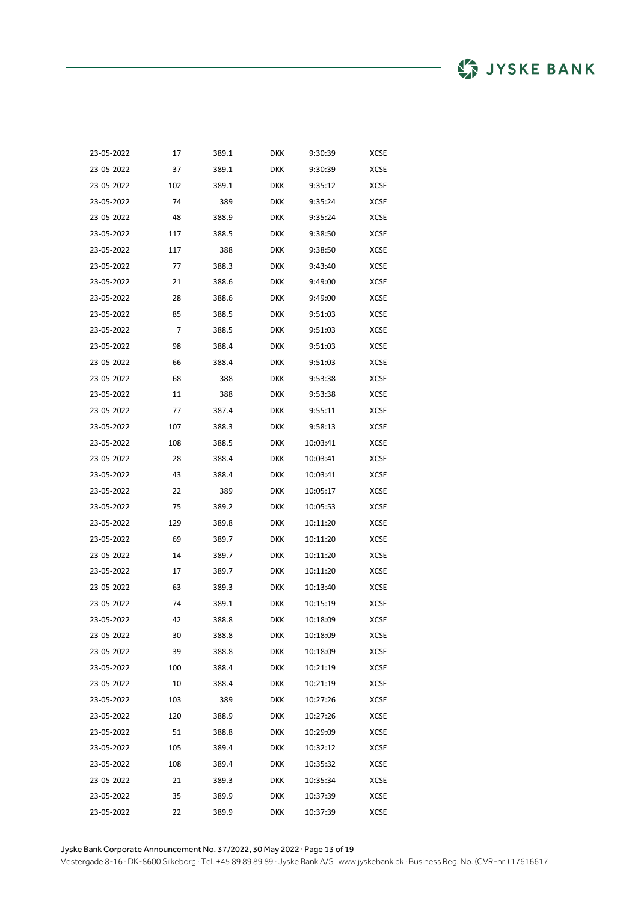| 23-05-2022 | 17  | 389.1 | <b>DKK</b> | 9:30:39  | <b>XCSE</b> |
|------------|-----|-------|------------|----------|-------------|
| 23-05-2022 | 37  | 389.1 | <b>DKK</b> | 9:30:39  | XCSE        |
| 23-05-2022 | 102 | 389.1 | <b>DKK</b> | 9:35:12  | XCSE        |
| 23-05-2022 | 74  | 389   | DKK        | 9:35:24  | XCSE        |
| 23-05-2022 | 48  | 388.9 | <b>DKK</b> | 9:35:24  | <b>XCSE</b> |
| 23-05-2022 | 117 | 388.5 | DKK        | 9:38:50  | <b>XCSE</b> |
| 23-05-2022 | 117 | 388   | <b>DKK</b> | 9:38:50  | XCSE        |
| 23-05-2022 | 77  | 388.3 | DKK        | 9:43:40  | XCSE        |
| 23-05-2022 | 21  | 388.6 | <b>DKK</b> | 9:49:00  | <b>XCSE</b> |
| 23-05-2022 | 28  | 388.6 | DKK        | 9:49:00  | XCSE        |
| 23-05-2022 | 85  | 388.5 | <b>DKK</b> | 9:51:03  | XCSE        |
| 23-05-2022 | 7   | 388.5 | DKK        | 9:51:03  | XCSE        |
| 23-05-2022 | 98  | 388.4 | <b>DKK</b> | 9:51:03  | <b>XCSE</b> |
| 23-05-2022 | 66  | 388.4 | <b>DKK</b> | 9:51:03  | XCSE        |
| 23-05-2022 | 68  | 388   | <b>DKK</b> | 9:53:38  | XCSE        |
| 23-05-2022 | 11  | 388   | DKK        | 9:53:38  | XCSE        |
| 23-05-2022 | 77  | 387.4 | DKK        | 9:55:11  | XCSE        |
| 23-05-2022 | 107 | 388.3 | DKK        | 9:58:13  | XCSE        |
| 23-05-2022 | 108 | 388.5 | DKK        | 10:03:41 | <b>XCSE</b> |
| 23-05-2022 | 28  | 388.4 | DKK        | 10:03:41 | XCSE        |
| 23-05-2022 | 43  | 388.4 | DKK        | 10:03:41 | XCSE        |
| 23-05-2022 | 22  | 389   | DKK        | 10:05:17 | XCSE        |
| 23-05-2022 | 75  | 389.2 | DKK        | 10:05:53 | XCSE        |
| 23-05-2022 | 129 | 389.8 | DKK        | 10:11:20 | XCSE        |
| 23-05-2022 | 69  | 389.7 | DKK        | 10:11:20 | XCSE        |
| 23-05-2022 | 14  | 389.7 | DKK        | 10:11:20 | <b>XCSE</b> |
| 23-05-2022 | 17  | 389.7 | DKK        | 10:11:20 | XCSE        |
| 23-05-2022 | 63  | 389.3 | <b>DKK</b> | 10:13:40 | <b>XCSE</b> |
| 23-05-2022 | 74  | 389.1 | DKK        | 10:15:19 | XCSE        |
| 23-05-2022 | 42  | 388.8 | DKK        | 10:18:09 | XCSE        |
| 23-05-2022 | 30  | 388.8 | DKK        | 10:18:09 | XCSE        |
| 23-05-2022 | 39  | 388.8 | <b>DKK</b> | 10:18:09 | XCSE        |
| 23-05-2022 | 100 | 388.4 | DKK        | 10:21:19 | XCSE        |
| 23-05-2022 | 10  | 388.4 | <b>DKK</b> | 10:21:19 | XCSE        |
| 23-05-2022 | 103 | 389   | <b>DKK</b> | 10:27:26 | XCSE        |
| 23-05-2022 | 120 | 388.9 | <b>DKK</b> | 10:27:26 | XCSE        |
| 23-05-2022 | 51  | 388.8 | DKK        | 10:29:09 | XCSE        |
| 23-05-2022 | 105 | 389.4 | <b>DKK</b> | 10:32:12 | XCSE        |
| 23-05-2022 | 108 | 389.4 | <b>DKK</b> | 10:35:32 | <b>XCSE</b> |
| 23-05-2022 | 21  | 389.3 | DKK        | 10:35:34 | XCSE        |
| 23-05-2022 | 35  | 389.9 | <b>DKK</b> | 10:37:39 | XCSE        |
| 23-05-2022 | 22  | 389.9 | <b>DKK</b> | 10:37:39 | XCSE        |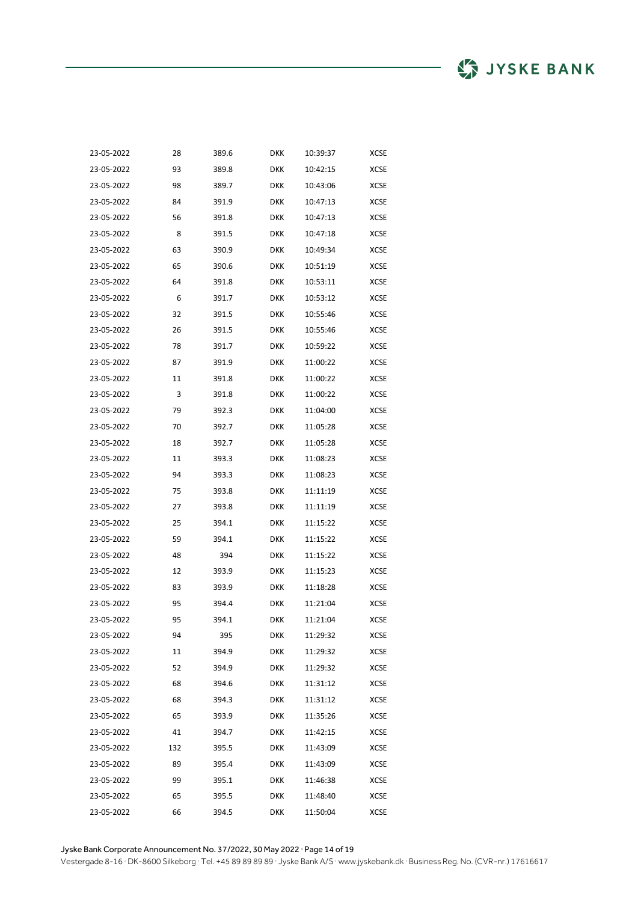| 23-05-2022 | 28  | 389.6 | <b>DKK</b> | 10:39:37 | <b>XCSE</b> |
|------------|-----|-------|------------|----------|-------------|
| 23-05-2022 | 93  | 389.8 | <b>DKK</b> | 10:42:15 | XCSE        |
| 23-05-2022 | 98  | 389.7 | <b>DKK</b> | 10:43:06 | XCSE        |
| 23-05-2022 | 84  | 391.9 | <b>DKK</b> | 10:47:13 | <b>XCSE</b> |
| 23-05-2022 | 56  | 391.8 | <b>DKK</b> | 10:47:13 | <b>XCSE</b> |
| 23-05-2022 | 8   | 391.5 | <b>DKK</b> | 10:47:18 | XCSE        |
| 23-05-2022 | 63  | 390.9 | <b>DKK</b> | 10:49:34 | XCSE        |
| 23-05-2022 | 65  | 390.6 | <b>DKK</b> | 10:51:19 | <b>XCSE</b> |
| 23-05-2022 | 64  | 391.8 | DKK        | 10:53:11 | <b>XCSE</b> |
| 23-05-2022 | 6   | 391.7 | DKK        | 10:53:12 | XCSE        |
| 23-05-2022 | 32  | 391.5 | <b>DKK</b> | 10:55:46 | XCSE        |
| 23-05-2022 | 26  | 391.5 | <b>DKK</b> | 10:55:46 | XCSE        |
| 23-05-2022 | 78  | 391.7 | DKK        | 10:59:22 | XCSE        |
| 23-05-2022 | 87  | 391.9 | DKK        | 11:00:22 | XCSE        |
| 23-05-2022 | 11  | 391.8 | <b>DKK</b> | 11:00:22 | <b>XCSE</b> |
| 23-05-2022 | 3   | 391.8 | DKK        | 11:00:22 | XCSE        |
| 23-05-2022 | 79  | 392.3 | DKK        | 11:04:00 | <b>XCSE</b> |
| 23-05-2022 | 70  | 392.7 | DKK        | 11:05:28 | XCSE        |
| 23-05-2022 | 18  | 392.7 | DKK        | 11:05:28 | XCSE        |
| 23-05-2022 | 11  | 393.3 | DKK        | 11:08:23 | XCSE        |
| 23-05-2022 | 94  | 393.3 | DKK        | 11:08:23 | XCSE        |
| 23-05-2022 | 75  | 393.8 | DKK        | 11:11:19 | XCSE        |
| 23-05-2022 | 27  | 393.8 | DKK        | 11:11:19 | XCSE        |
| 23-05-2022 | 25  | 394.1 | DKK        | 11:15:22 | XCSE        |
| 23-05-2022 | 59  | 394.1 | DKK        | 11:15:22 | XCSE        |
| 23-05-2022 | 48  | 394   | DKK        | 11:15:22 | XCSE        |
| 23-05-2022 | 12  | 393.9 | DKK        | 11:15:23 | XCSE        |
| 23-05-2022 | 83  | 393.9 | DKK        | 11:18:28 | XCSE        |
| 23-05-2022 | 95  | 394.4 | DKK        | 11:21:04 | XCSE        |
| 23-05-2022 | 95  | 394.1 | <b>DKK</b> | 11:21:04 | XCSE        |
| 23-05-2022 | 94  | 395   | <b>DKK</b> | 11:29:32 | XCSE        |
| 23-05-2022 | 11  | 394.9 | <b>DKK</b> | 11:29:32 | XCSE        |
| 23-05-2022 | 52  | 394.9 | <b>DKK</b> | 11:29:32 | XCSE        |
| 23-05-2022 | 68  | 394.6 | <b>DKK</b> | 11:31:12 | XCSE        |
| 23-05-2022 | 68  | 394.3 | <b>DKK</b> | 11:31:12 | XCSE        |
| 23-05-2022 | 65  | 393.9 | <b>DKK</b> | 11:35:26 | <b>XCSE</b> |
| 23-05-2022 | 41  | 394.7 | DKK        | 11:42:15 | XCSE        |
| 23-05-2022 | 132 | 395.5 | <b>DKK</b> | 11:43:09 | XCSE        |
| 23-05-2022 | 89  | 395.4 | <b>DKK</b> | 11:43:09 | XCSE        |
| 23-05-2022 | 99  | 395.1 | <b>DKK</b> | 11:46:38 | XCSE        |
| 23-05-2022 | 65  | 395.5 | DKK        | 11:48:40 | XCSE        |
| 23-05-2022 | 66  | 394.5 | <b>DKK</b> | 11:50:04 | XCSE        |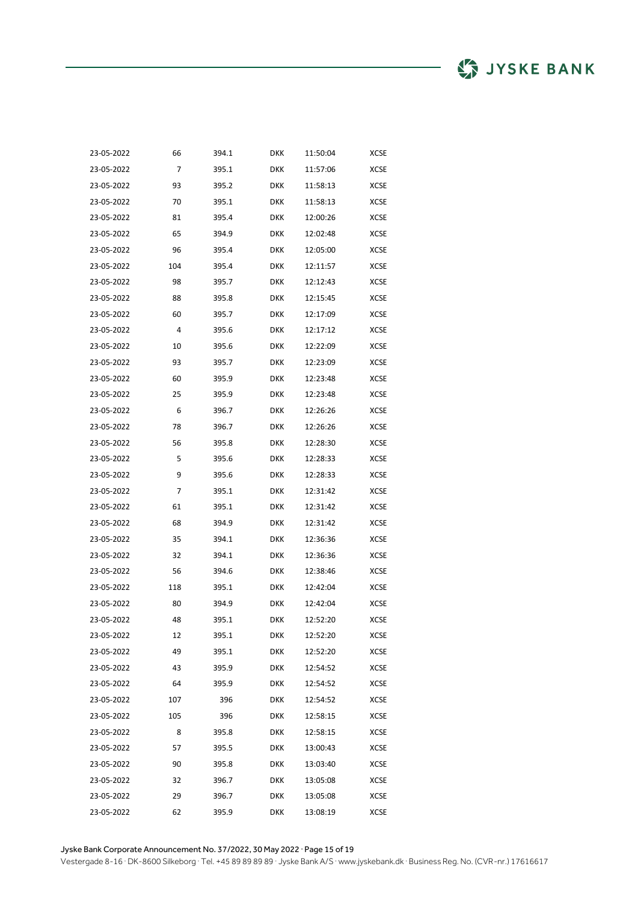| 23-05-2022 | 66  | 394.1 | <b>DKK</b> | 11:50:04 | <b>XCSE</b> |
|------------|-----|-------|------------|----------|-------------|
| 23-05-2022 | 7   | 395.1 | <b>DKK</b> | 11:57:06 | XCSE        |
| 23-05-2022 | 93  | 395.2 | <b>DKK</b> | 11:58:13 | XCSE        |
| 23-05-2022 | 70  | 395.1 | <b>DKK</b> | 11:58:13 | <b>XCSE</b> |
| 23-05-2022 | 81  | 395.4 | <b>DKK</b> | 12:00:26 | <b>XCSE</b> |
| 23-05-2022 | 65  | 394.9 | <b>DKK</b> | 12:02:48 | XCSE        |
| 23-05-2022 | 96  | 395.4 | <b>DKK</b> | 12:05:00 | XCSE        |
| 23-05-2022 | 104 | 395.4 | <b>DKK</b> | 12:11:57 | <b>XCSE</b> |
| 23-05-2022 | 98  | 395.7 | <b>DKK</b> | 12:12:43 | <b>XCSE</b> |
| 23-05-2022 | 88  | 395.8 | <b>DKK</b> | 12:15:45 | XCSE        |
| 23-05-2022 | 60  | 395.7 | <b>DKK</b> | 12:17:09 | XCSE        |
| 23-05-2022 | 4   | 395.6 | <b>DKK</b> | 12:17:12 | XCSE        |
| 23-05-2022 | 10  | 395.6 | <b>DKK</b> | 12:22:09 | XCSE        |
| 23-05-2022 | 93  | 395.7 | DKK        | 12:23:09 | XCSE        |
| 23-05-2022 | 60  | 395.9 | <b>DKK</b> | 12:23:48 | XCSE        |
| 23-05-2022 | 25  | 395.9 | <b>DKK</b> | 12:23:48 | <b>XCSE</b> |
| 23-05-2022 | 6   | 396.7 | <b>DKK</b> | 12:26:26 | <b>XCSE</b> |
| 23-05-2022 | 78  | 396.7 | <b>DKK</b> | 12:26:26 | <b>XCSE</b> |
| 23-05-2022 | 56  | 395.8 | <b>DKK</b> | 12:28:30 | <b>XCSE</b> |
| 23-05-2022 | 5   | 395.6 | <b>DKK</b> | 12:28:33 | <b>XCSE</b> |
| 23-05-2022 | 9   | 395.6 | <b>DKK</b> | 12:28:33 | <b>XCSE</b> |
| 23-05-2022 | 7   | 395.1 | <b>DKK</b> | 12:31:42 | XCSE        |
| 23-05-2022 | 61  | 395.1 | <b>DKK</b> | 12:31:42 | <b>XCSE</b> |
| 23-05-2022 | 68  | 394.9 | <b>DKK</b> | 12:31:42 | <b>XCSE</b> |
| 23-05-2022 | 35  | 394.1 | <b>DKK</b> | 12:36:36 | <b>XCSE</b> |
| 23-05-2022 | 32  | 394.1 | <b>DKK</b> | 12:36:36 | XCSE        |
| 23-05-2022 | 56  | 394.6 | <b>DKK</b> | 12:38:46 | <b>XCSE</b> |
| 23-05-2022 | 118 | 395.1 | <b>DKK</b> | 12:42:04 | <b>XCSE</b> |
| 23-05-2022 | 80  | 394.9 | <b>DKK</b> | 12:42:04 | <b>XCSE</b> |
| 23-05-2022 | 48  | 395.1 | DKK        | 12:52:20 | XCSE        |
| 23-05-2022 | 12  | 395.1 | <b>DKK</b> | 12:52:20 | XCSE        |
| 23-05-2022 | 49  | 395.1 | <b>DKK</b> | 12:52:20 | XCSE        |
| 23-05-2022 | 43  | 395.9 | <b>DKK</b> | 12:54:52 | XCSE        |
| 23-05-2022 | 64  | 395.9 | <b>DKK</b> | 12:54:52 | <b>XCSE</b> |
| 23-05-2022 | 107 | 396   | <b>DKK</b> | 12:54:52 | <b>XCSE</b> |
| 23-05-2022 | 105 | 396   | <b>DKK</b> | 12:58:15 | XCSE        |
| 23-05-2022 | 8   | 395.8 | <b>DKK</b> | 12:58:15 | XCSE        |
| 23-05-2022 | 57  | 395.5 | <b>DKK</b> | 13:00:43 | <b>XCSE</b> |
| 23-05-2022 | 90  | 395.8 | <b>DKK</b> | 13:03:40 | XCSE        |
| 23-05-2022 | 32  | 396.7 | <b>DKK</b> | 13:05:08 | XCSE        |
| 23-05-2022 | 29  | 396.7 | DKK        | 13:05:08 | XCSE        |
| 23-05-2022 | 62  | 395.9 | DKK        | 13:08:19 | <b>XCSE</b> |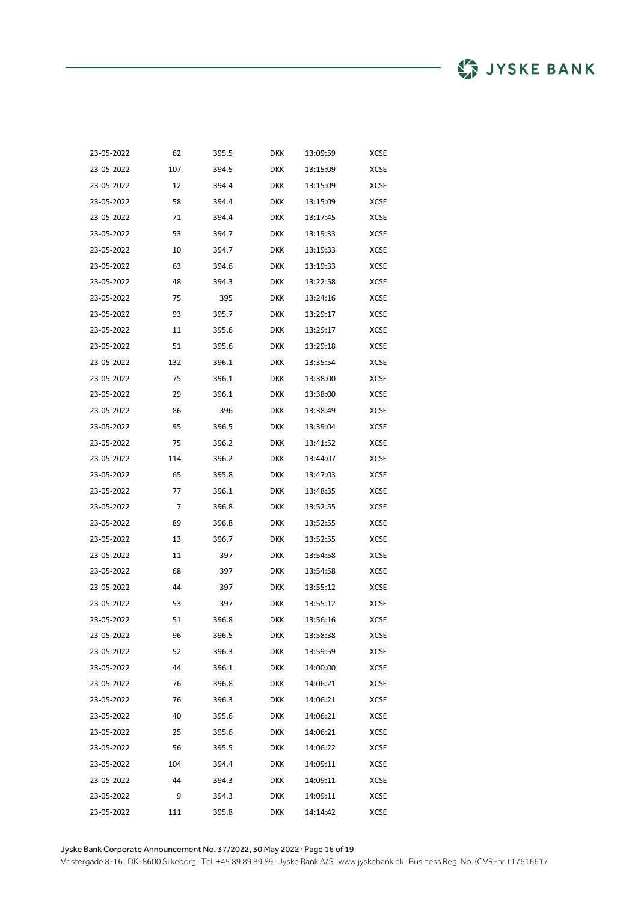| 23-05-2022 | 62  | 395.5 | <b>DKK</b> | 13:09:59 | <b>XCSE</b> |
|------------|-----|-------|------------|----------|-------------|
| 23-05-2022 | 107 | 394.5 | DKK        | 13:15:09 | <b>XCSE</b> |
| 23-05-2022 | 12  | 394.4 | DKK        | 13:15:09 | XCSE        |
| 23-05-2022 | 58  | 394.4 | DKK        | 13:15:09 | XCSE        |
| 23-05-2022 | 71  | 394.4 | DKK        | 13:17:45 | XCSE        |
| 23-05-2022 | 53  | 394.7 | DKK        | 13:19:33 | XCSE        |
| 23-05-2022 | 10  | 394.7 | DKK        | 13:19:33 | XCSE        |
| 23-05-2022 | 63  | 394.6 | DKK        | 13:19:33 | XCSE        |
| 23-05-2022 | 48  | 394.3 | DKK        | 13:22:58 | <b>XCSE</b> |
| 23-05-2022 | 75  | 395   | <b>DKK</b> | 13:24:16 | XCSE        |
| 23-05-2022 | 93  | 395.7 | DKK        | 13:29:17 | XCSE        |
| 23-05-2022 | 11  | 395.6 | DKK        | 13:29:17 | XCSE        |
| 23-05-2022 | 51  | 395.6 | DKK        | 13:29:18 | XCSE        |
| 23-05-2022 | 132 | 396.1 | <b>DKK</b> | 13:35:54 | XCSE        |
| 23-05-2022 | 75  | 396.1 | DKK        | 13:38:00 | XCSE        |
| 23-05-2022 | 29  | 396.1 | DKK        | 13:38:00 | XCSE        |
| 23-05-2022 | 86  | 396   | DKK        | 13:38:49 | <b>XCSE</b> |
| 23-05-2022 | 95  | 396.5 | <b>DKK</b> | 13:39:04 | XCSE        |
| 23-05-2022 | 75  | 396.2 | DKK        | 13:41:52 | <b>XCSE</b> |
| 23-05-2022 | 114 | 396.2 | DKK        | 13:44:07 | <b>XCSE</b> |
| 23-05-2022 | 65  | 395.8 | DKK        | 13:47:03 | <b>XCSE</b> |
| 23-05-2022 | 77  | 396.1 | DKK        | 13:48:35 | XCSE        |
| 23-05-2022 | 7   | 396.8 | DKK        | 13:52:55 | XCSE        |
| 23-05-2022 | 89  | 396.8 | DKK        | 13:52:55 | XCSE        |
| 23-05-2022 | 13  | 396.7 | DKK        | 13:52:55 | <b>XCSE</b> |
| 23-05-2022 | 11  | 397   | DKK        | 13:54:58 | XCSE        |
| 23-05-2022 | 68  | 397   | DKK        | 13:54:58 | XCSE        |
| 23-05-2022 | 44  | 397   | DKK        | 13:55:12 | XCSE        |
| 23-05-2022 | 53  | 397   | DKK        | 13:55:12 | <b>XCSE</b> |
| 23-05-2022 | 51  | 396.8 | DKK        | 13:56:16 | XCSE        |
| 23-05-2022 | 96  | 396.5 | <b>DKK</b> | 13:58:38 | XCSE        |
| 23-05-2022 | 52  | 396.3 | <b>DKK</b> | 13:59:59 | XCSE        |
| 23-05-2022 | 44  | 396.1 | DKK        | 14:00:00 | XCSE        |
| 23-05-2022 | 76  | 396.8 | DKK        | 14:06:21 | XCSE        |
| 23-05-2022 | 76  | 396.3 | <b>DKK</b> | 14:06:21 | XCSE        |
| 23-05-2022 | 40  | 395.6 | <b>DKK</b> | 14:06:21 | XCSE        |
| 23-05-2022 | 25  | 395.6 | DKK        | 14:06:21 | XCSE        |
| 23-05-2022 | 56  | 395.5 | <b>DKK</b> | 14:06:22 | XCSE        |
| 23-05-2022 | 104 | 394.4 | <b>DKK</b> | 14:09:11 | XCSE        |
| 23-05-2022 | 44  | 394.3 | DKK        | 14:09:11 | XCSE        |
| 23-05-2022 | 9   | 394.3 | DKK        | 14:09:11 | XCSE        |
| 23-05-2022 | 111 | 395.8 | <b>DKK</b> | 14:14:42 | XCSE        |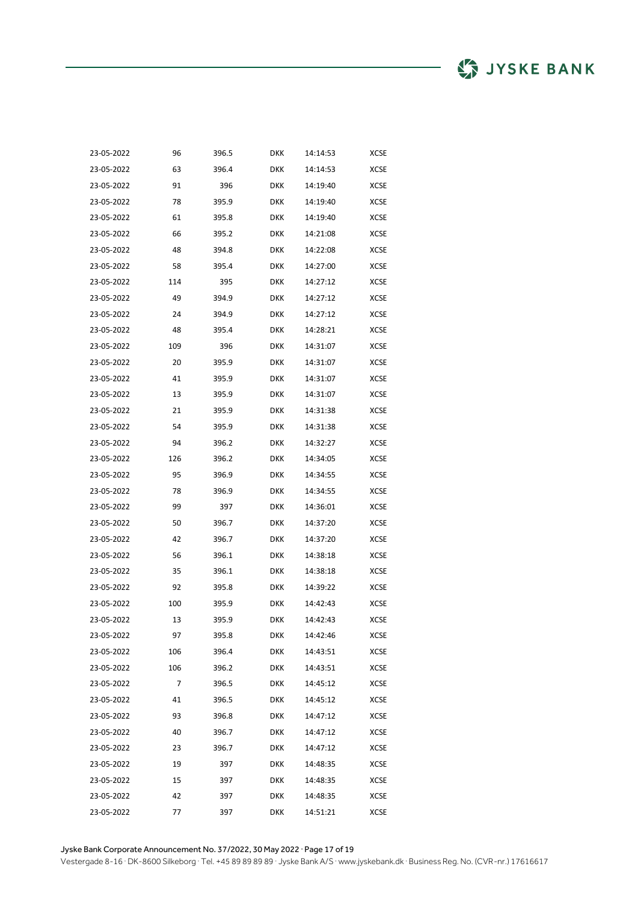| 23-05-2022 | 96  | 396.5 | <b>DKK</b> | 14:14:53 | <b>XCSE</b> |
|------------|-----|-------|------------|----------|-------------|
| 23-05-2022 | 63  | 396.4 | <b>DKK</b> | 14:14:53 | XCSE        |
| 23-05-2022 | 91  | 396   | <b>DKK</b> | 14:19:40 | XCSE        |
| 23-05-2022 | 78  | 395.9 | <b>DKK</b> | 14:19:40 | XCSE        |
| 23-05-2022 | 61  | 395.8 | <b>DKK</b> | 14:19:40 | XCSE        |
| 23-05-2022 | 66  | 395.2 | <b>DKK</b> | 14:21:08 | XCSE        |
| 23-05-2022 | 48  | 394.8 | DKK        | 14:22:08 | XCSE        |
| 23-05-2022 | 58  | 395.4 | <b>DKK</b> | 14:27:00 | XCSE        |
| 23-05-2022 | 114 | 395   | <b>DKK</b> | 14:27:12 | XCSE        |
| 23-05-2022 | 49  | 394.9 | <b>DKK</b> | 14:27:12 | XCSE        |
| 23-05-2022 | 24  | 394.9 | DKK        | 14:27:12 | XCSE        |
| 23-05-2022 | 48  | 395.4 | DKK        | 14:28:21 | XCSE        |
| 23-05-2022 | 109 | 396   | <b>DKK</b> | 14:31:07 | XCSE        |
| 23-05-2022 | 20  | 395.9 | <b>DKK</b> | 14:31:07 | XCSE        |
| 23-05-2022 | 41  | 395.9 | DKK        | 14:31:07 | XCSE        |
| 23-05-2022 | 13  | 395.9 | DKK        | 14:31:07 | XCSE        |
| 23-05-2022 | 21  | 395.9 | <b>DKK</b> | 14:31:38 | <b>XCSE</b> |
| 23-05-2022 | 54  | 395.9 | DKK        | 14:31:38 | XCSE        |
| 23-05-2022 | 94  | 396.2 | <b>DKK</b> | 14:32:27 | XCSE        |
| 23-05-2022 | 126 | 396.2 | DKK        | 14:34:05 | XCSE        |
| 23-05-2022 | 95  | 396.9 | DKK        | 14:34:55 | <b>XCSE</b> |
| 23-05-2022 | 78  | 396.9 | DKK        | 14:34:55 | XCSE        |
| 23-05-2022 | 99  | 397   | DKK        | 14:36:01 | <b>XCSE</b> |
| 23-05-2022 | 50  | 396.7 | DKK        | 14:37:20 | XCSE        |
| 23-05-2022 | 42  | 396.7 | DKK        | 14:37:20 | <b>XCSE</b> |
| 23-05-2022 | 56  | 396.1 | DKK        | 14:38:18 | XCSE        |
| 23-05-2022 | 35  | 396.1 | DKK        | 14:38:18 | XCSE        |
| 23-05-2022 | 92  | 395.8 | DKK        | 14:39:22 | XCSE        |
| 23-05-2022 | 100 | 395.9 | <b>DKK</b> | 14:42:43 | <b>XCSE</b> |
| 23-05-2022 | 13  | 395.9 | DKK        | 14:42:43 | XCSE        |
| 23-05-2022 | 97  | 395.8 | <b>DKK</b> | 14:42:46 | XCSE        |
| 23-05-2022 | 106 | 396.4 | <b>DKK</b> | 14:43:51 | XCSE        |
| 23-05-2022 | 106 | 396.2 | <b>DKK</b> | 14:43:51 | XCSE        |
| 23-05-2022 | 7   | 396.5 | <b>DKK</b> | 14:45:12 | XCSE        |
| 23-05-2022 | 41  | 396.5 | <b>DKK</b> | 14:45:12 | XCSE        |
| 23-05-2022 | 93  | 396.8 | <b>DKK</b> | 14:47:12 | XCSE        |
| 23-05-2022 | 40  | 396.7 | <b>DKK</b> | 14:47:12 | XCSE        |
| 23-05-2022 | 23  | 396.7 | <b>DKK</b> | 14:47:12 | XCSE        |
| 23-05-2022 | 19  | 397   | <b>DKK</b> | 14:48:35 | XCSE        |
| 23-05-2022 | 15  | 397   | <b>DKK</b> | 14:48:35 | XCSE        |
| 23-05-2022 | 42  | 397   | <b>DKK</b> | 14:48:35 | XCSE        |
| 23-05-2022 | 77  | 397   | <b>DKK</b> | 14:51:21 | XCSE        |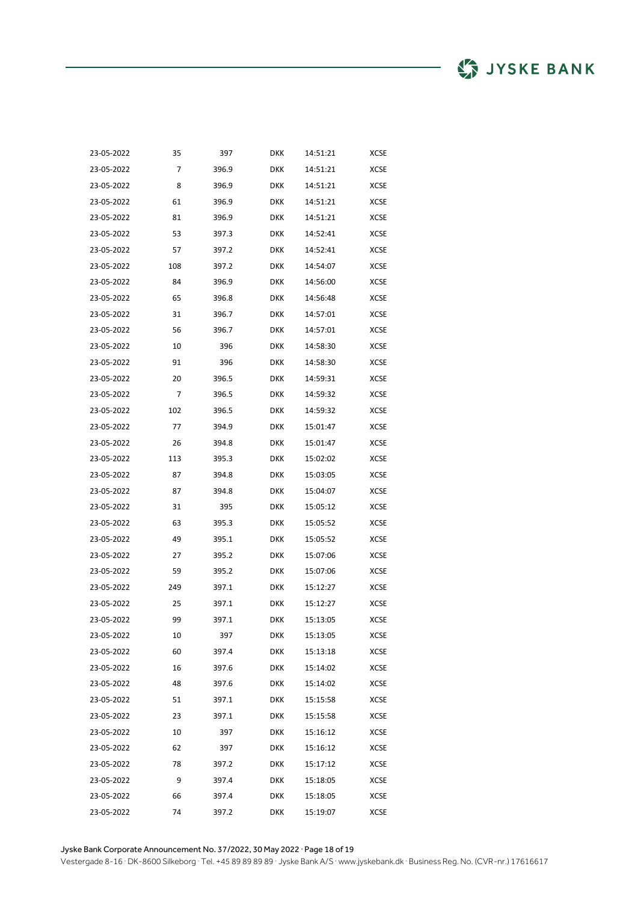| 23-05-2022 | 35  | 397   | DKK        | 14:51:21 | <b>XCSE</b> |
|------------|-----|-------|------------|----------|-------------|
| 23-05-2022 | 7   | 396.9 | <b>DKK</b> | 14:51:21 | <b>XCSE</b> |
| 23-05-2022 | 8   | 396.9 | DKK        | 14:51:21 | XCSE        |
| 23-05-2022 | 61  | 396.9 | <b>DKK</b> | 14:51:21 | XCSE        |
| 23-05-2022 | 81  | 396.9 | <b>DKK</b> | 14:51:21 | XCSE        |
| 23-05-2022 | 53  | 397.3 | <b>DKK</b> | 14:52:41 | <b>XCSE</b> |
| 23-05-2022 | 57  | 397.2 | <b>DKK</b> | 14:52:41 | XCSE        |
| 23-05-2022 | 108 | 397.2 | <b>DKK</b> | 14:54:07 | XCSE        |
| 23-05-2022 | 84  | 396.9 | <b>DKK</b> | 14:56:00 | XCSE        |
| 23-05-2022 | 65  | 396.8 | <b>DKK</b> | 14:56:48 | <b>XCSE</b> |
| 23-05-2022 | 31  | 396.7 | <b>DKK</b> | 14:57:01 | XCSE        |
| 23-05-2022 | 56  | 396.7 | <b>DKK</b> | 14:57:01 | XCSE        |
| 23-05-2022 | 10  | 396   | DKK        | 14:58:30 | XCSE        |
| 23-05-2022 | 91  | 396   | <b>DKK</b> | 14:58:30 | <b>XCSE</b> |
| 23-05-2022 | 20  | 396.5 | DKK        | 14:59:31 | <b>XCSE</b> |
| 23-05-2022 | 7   | 396.5 | <b>DKK</b> | 14:59:32 | XCSE        |
| 23-05-2022 | 102 | 396.5 | <b>DKK</b> | 14:59:32 | XCSE        |
| 23-05-2022 | 77  | 394.9 | <b>DKK</b> | 15:01:47 | XCSE        |
| 23-05-2022 | 26  | 394.8 | <b>DKK</b> | 15:01:47 | XCSE        |
| 23-05-2022 | 113 | 395.3 | <b>DKK</b> | 15:02:02 | XCSE        |
| 23-05-2022 | 87  | 394.8 | <b>DKK</b> | 15:03:05 | XCSE        |
| 23-05-2022 | 87  | 394.8 | <b>DKK</b> | 15:04:07 | XCSE        |
| 23-05-2022 | 31  | 395   | <b>DKK</b> | 15:05:12 | XCSE        |
| 23-05-2022 | 63  | 395.3 | <b>DKK</b> | 15:05:52 | XCSE        |
| 23-05-2022 | 49  | 395.1 | <b>DKK</b> | 15:05:52 | XCSE        |
| 23-05-2022 | 27  | 395.2 | <b>DKK</b> | 15:07:06 | XCSE        |
| 23-05-2022 | 59  | 395.2 | <b>DKK</b> | 15:07:06 | <b>XCSE</b> |
| 23-05-2022 | 249 | 397.1 | <b>DKK</b> | 15:12:27 | <b>XCSE</b> |
| 23-05-2022 | 25  | 397.1 | <b>DKK</b> | 15:12:27 | XCSE        |
| 23-05-2022 | 99  | 397.1 | <b>DKK</b> | 15:13:05 | XCSE        |
| 23-05-2022 | 10  | 397   | <b>DKK</b> | 15:13:05 | <b>XCSE</b> |
| 23-05-2022 | 60  | 397.4 | <b>DKK</b> | 15:13:18 | XCSE        |
| 23-05-2022 | 16  | 397.6 | <b>DKK</b> | 15:14:02 | XCSE        |
| 23-05-2022 | 48  | 397.6 | <b>DKK</b> | 15:14:02 | XCSE        |
| 23-05-2022 | 51  | 397.1 | <b>DKK</b> | 15:15:58 | XCSE        |
| 23-05-2022 | 23  | 397.1 | <b>DKK</b> | 15:15:58 | <b>XCSE</b> |
| 23-05-2022 | 10  | 397   | <b>DKK</b> | 15:16:12 | XCSE        |
| 23-05-2022 | 62  | 397   | <b>DKK</b> | 15:16:12 | <b>XCSE</b> |
| 23-05-2022 | 78  | 397.2 | <b>DKK</b> | 15:17:12 | XCSE        |
| 23-05-2022 | 9   | 397.4 | DKK        | 15:18:05 | XCSE        |
| 23-05-2022 | 66  | 397.4 | <b>DKK</b> | 15:18:05 | XCSE        |
| 23-05-2022 | 74  | 397.2 | <b>DKK</b> | 15:19:07 | <b>XCSE</b> |